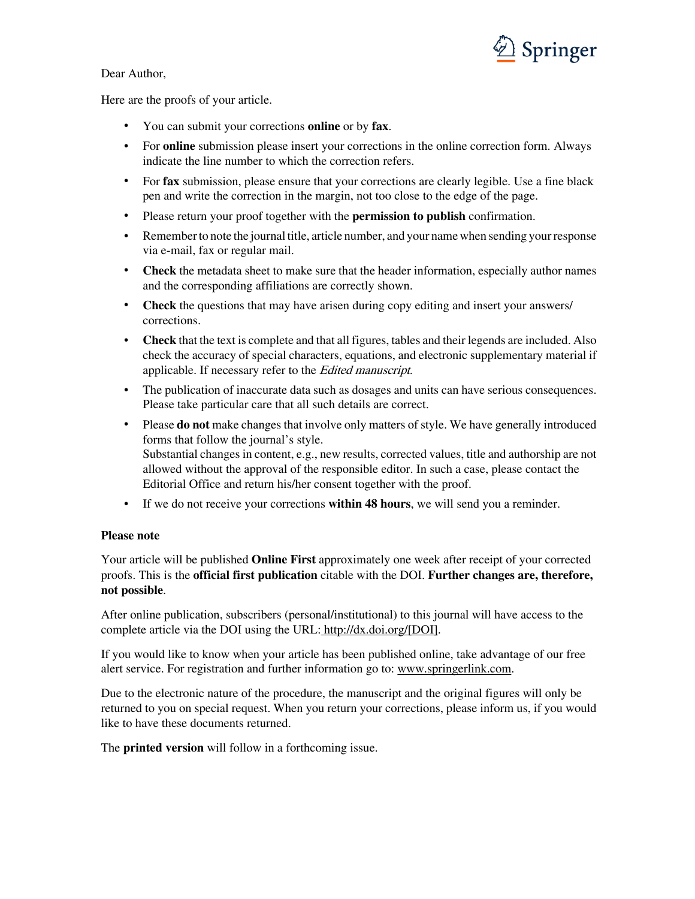

## Dear Author,

Here are the proofs of your article.

- You can submit your corrections **online** or by **fax**.
- For **online** submission please insert your corrections in the online correction form. Always indicate the line number to which the correction refers.
- For **fax** submission, please ensure that your corrections are clearly legible. Use a fine black pen and write the correction in the margin, not too close to the edge of the page.
- Please return your proof together with the **permission to publish** confirmation.
- Remember to note the journal title, article number, and your name when sending your response via e-mail, fax or regular mail.
- **Check** the metadata sheet to make sure that the header information, especially author names and the corresponding affiliations are correctly shown.
- **Check** the questions that may have arisen during copy editing and insert your answers/ corrections.
- **Check** that the text is complete and that all figures, tables and their legends are included. Also check the accuracy of special characters, equations, and electronic supplementary material if applicable. If necessary refer to the Edited manuscript.
- The publication of inaccurate data such as dosages and units can have serious consequences. Please take particular care that all such details are correct.
- Please **do not** make changes that involve only matters of style. We have generally introduced forms that follow the journal's style. Substantial changes in content, e.g., new results, corrected values, title and authorship are not allowed without the approval of the responsible editor. In such a case, please contact the Editorial Office and return his/her consent together with the proof.
- If we do not receive your corrections **within 48 hours**, we will send you a reminder.

## **Please note**

Your article will be published **Online First** approximately one week after receipt of your corrected proofs. This is the **official first publication** citable with the DOI. **Further changes are, therefore, not possible**.

After online publication, subscribers (personal/institutional) to this journal will have access to the complete article via the DOI using the URL: [http://dx.doi.org/\[DOI\].](http://dx.doi.org/[DOI])

If you would like to know when your article has been published online, take advantage of our free alert service. For registration and further information go to: [www.springerlink.com.](http://www.springerlink.com)

Due to the electronic nature of the procedure, the manuscript and the original figures will only be returned to you on special request. When you return your corrections, please inform us, if you would like to have these documents returned.

The **printed version** will follow in a forthcoming issue.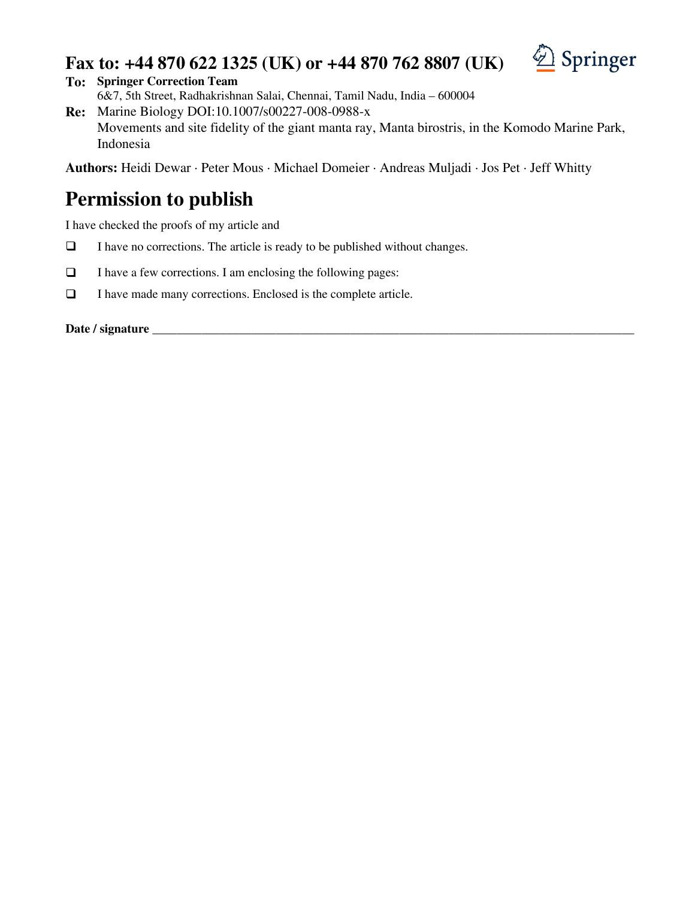## **Fax to: +44 870 622 1325 (UK) or +44 870 762 8807 (UK)**



**To: Springer Correction Team**

6&7, 5th Street, Radhakrishnan Salai, Chennai, Tamil Nadu, India – 600004 **Re:** Marine Biology DOI:10.1007/s00227-008-0988-x

Movements and site fidelity of the giant manta ray, Manta birostris, in the Komodo Marine Park, Indonesia

**Authors:** Heidi Dewar · Peter Mous · Michael Domeier · Andreas Muljadi · Jos Pet · Jeff Whitty

# **Permission to publish**

I have checked the proofs of my article and

- $\Box$  I have no corrections. The article is ready to be published without changes.
- $\Box$  I have a few corrections. I am enclosing the following pages:
- $\Box$  I have made many corrections. Enclosed is the complete article.

**Date / signature \_\_\_\_\_\_\_\_\_\_\_\_\_\_\_\_\_\_\_\_\_\_\_\_\_\_\_\_\_\_\_\_\_\_\_\_\_\_\_\_\_\_\_\_\_\_\_\_\_\_\_\_\_\_\_\_\_\_\_\_\_\_\_\_\_\_\_\_\_\_\_\_\_\_\_\_\_\_**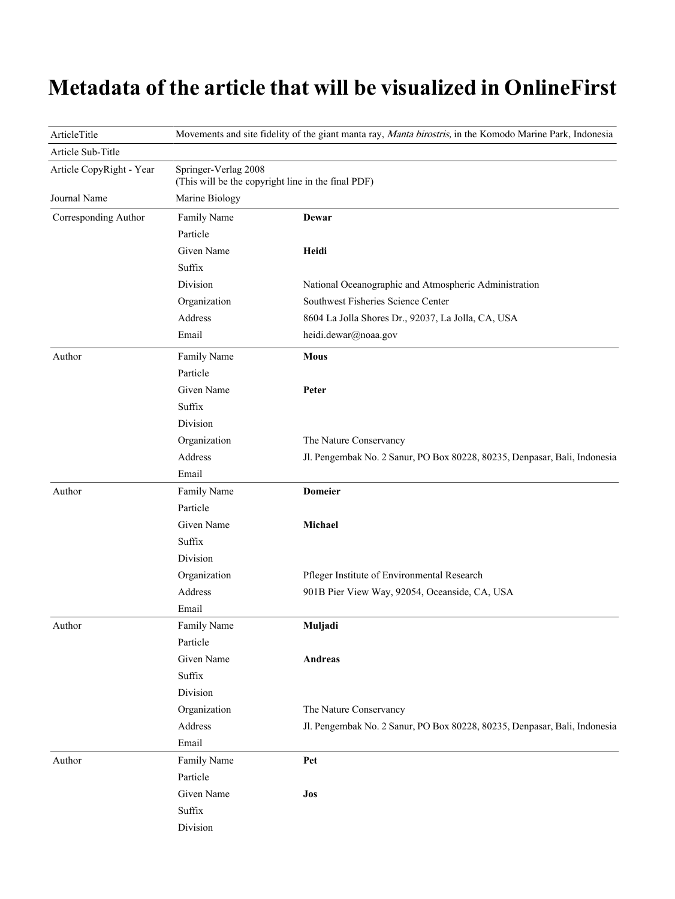# **Metadata of the article that will be visualized in OnlineFirst**

| ArticleTitle             |                                                                            | Movements and site fidelity of the giant manta ray, Manta birostris, in the Komodo Marine Park, Indonesia |  |  |  |
|--------------------------|----------------------------------------------------------------------------|-----------------------------------------------------------------------------------------------------------|--|--|--|
| Article Sub-Title        |                                                                            |                                                                                                           |  |  |  |
| Article CopyRight - Year | Springer-Verlag 2008<br>(This will be the copyright line in the final PDF) |                                                                                                           |  |  |  |
| Journal Name             | Marine Biology                                                             |                                                                                                           |  |  |  |
| Corresponding Author     | Family Name                                                                | Dewar                                                                                                     |  |  |  |
|                          | Particle                                                                   |                                                                                                           |  |  |  |
|                          | Given Name                                                                 | Heidi                                                                                                     |  |  |  |
|                          | Suffix                                                                     |                                                                                                           |  |  |  |
|                          | Division                                                                   | National Oceanographic and Atmospheric Administration                                                     |  |  |  |
|                          | Organization                                                               | Southwest Fisheries Science Center                                                                        |  |  |  |
|                          | Address                                                                    | 8604 La Jolla Shores Dr., 92037, La Jolla, CA, USA                                                        |  |  |  |
|                          | Email                                                                      | heidi.dewar@noaa.gov                                                                                      |  |  |  |
| Author                   | Family Name                                                                | <b>Mous</b>                                                                                               |  |  |  |
|                          | Particle                                                                   |                                                                                                           |  |  |  |
|                          | Given Name                                                                 | Peter                                                                                                     |  |  |  |
|                          | Suffix                                                                     |                                                                                                           |  |  |  |
|                          | Division                                                                   |                                                                                                           |  |  |  |
|                          | Organization                                                               | The Nature Conservancy                                                                                    |  |  |  |
|                          | Address                                                                    | Jl. Pengembak No. 2 Sanur, PO Box 80228, 80235, Denpasar, Bali, Indonesia                                 |  |  |  |
|                          | Email                                                                      |                                                                                                           |  |  |  |
| Author                   | Family Name                                                                | <b>Domeier</b>                                                                                            |  |  |  |
|                          | Particle                                                                   |                                                                                                           |  |  |  |
|                          | Given Name                                                                 | Michael                                                                                                   |  |  |  |
|                          | Suffix                                                                     |                                                                                                           |  |  |  |
|                          | Division                                                                   |                                                                                                           |  |  |  |
|                          | Organization                                                               | Pfleger Institute of Environmental Research                                                               |  |  |  |
|                          | Address                                                                    | 901B Pier View Way, 92054, Oceanside, CA, USA                                                             |  |  |  |
|                          | Email                                                                      |                                                                                                           |  |  |  |
| Author                   | Family Name                                                                | Muljadi                                                                                                   |  |  |  |
|                          | Particle                                                                   |                                                                                                           |  |  |  |
|                          | Given Name                                                                 | Andreas                                                                                                   |  |  |  |
|                          | Suffix                                                                     |                                                                                                           |  |  |  |
|                          | Division                                                                   |                                                                                                           |  |  |  |
|                          | Organization                                                               | The Nature Conservancy                                                                                    |  |  |  |
|                          | Address                                                                    | Jl. Pengembak No. 2 Sanur, PO Box 80228, 80235, Denpasar, Bali, Indonesia                                 |  |  |  |
|                          | Email                                                                      |                                                                                                           |  |  |  |
| Author                   | Family Name                                                                | Pet                                                                                                       |  |  |  |
|                          | Particle                                                                   |                                                                                                           |  |  |  |
|                          | Given Name                                                                 | Jos                                                                                                       |  |  |  |
|                          | Suffix                                                                     |                                                                                                           |  |  |  |
|                          | Division                                                                   |                                                                                                           |  |  |  |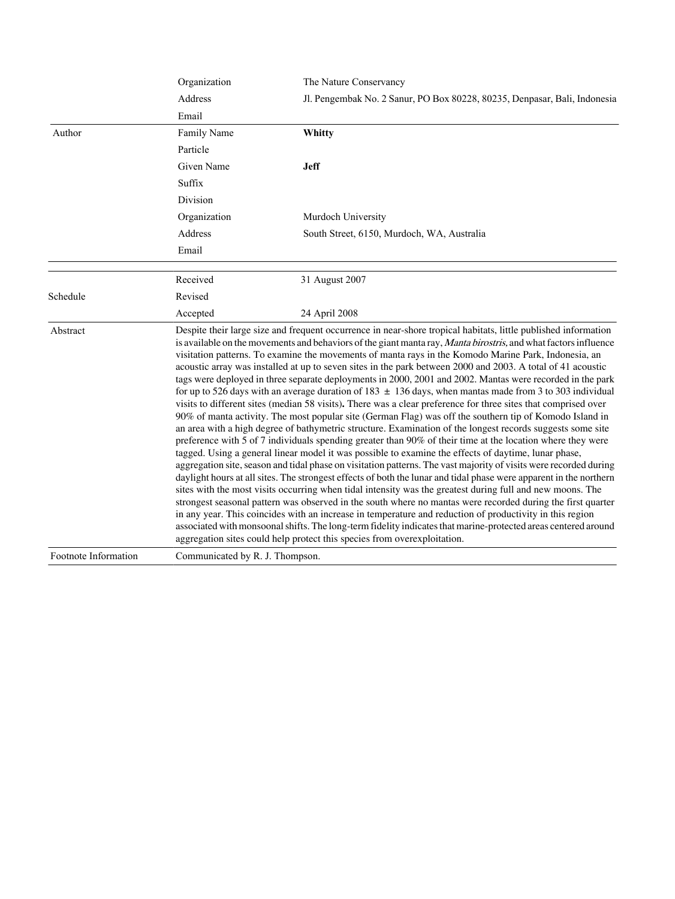|                      | Organization                    | The Nature Conservancy                                                                                                                                                                                                                                                                                                                                                                                                                                                                                                                                                                                                                                                                                                                                                                                                                                                                                                                                                                                                                                                                                                                                                                                                                                                                                                                                                                                                                                                                                                                                                                                                                                                                                                                                                                                                                                                                                                                                                                                                                  |  |  |  |  |
|----------------------|---------------------------------|-----------------------------------------------------------------------------------------------------------------------------------------------------------------------------------------------------------------------------------------------------------------------------------------------------------------------------------------------------------------------------------------------------------------------------------------------------------------------------------------------------------------------------------------------------------------------------------------------------------------------------------------------------------------------------------------------------------------------------------------------------------------------------------------------------------------------------------------------------------------------------------------------------------------------------------------------------------------------------------------------------------------------------------------------------------------------------------------------------------------------------------------------------------------------------------------------------------------------------------------------------------------------------------------------------------------------------------------------------------------------------------------------------------------------------------------------------------------------------------------------------------------------------------------------------------------------------------------------------------------------------------------------------------------------------------------------------------------------------------------------------------------------------------------------------------------------------------------------------------------------------------------------------------------------------------------------------------------------------------------------------------------------------------------|--|--|--|--|
|                      | Address                         | Jl. Pengembak No. 2 Sanur, PO Box 80228, 80235, Denpasar, Bali, Indonesia                                                                                                                                                                                                                                                                                                                                                                                                                                                                                                                                                                                                                                                                                                                                                                                                                                                                                                                                                                                                                                                                                                                                                                                                                                                                                                                                                                                                                                                                                                                                                                                                                                                                                                                                                                                                                                                                                                                                                               |  |  |  |  |
|                      | Email                           |                                                                                                                                                                                                                                                                                                                                                                                                                                                                                                                                                                                                                                                                                                                                                                                                                                                                                                                                                                                                                                                                                                                                                                                                                                                                                                                                                                                                                                                                                                                                                                                                                                                                                                                                                                                                                                                                                                                                                                                                                                         |  |  |  |  |
| Author               | Family Name                     | Whitty                                                                                                                                                                                                                                                                                                                                                                                                                                                                                                                                                                                                                                                                                                                                                                                                                                                                                                                                                                                                                                                                                                                                                                                                                                                                                                                                                                                                                                                                                                                                                                                                                                                                                                                                                                                                                                                                                                                                                                                                                                  |  |  |  |  |
|                      | Particle                        |                                                                                                                                                                                                                                                                                                                                                                                                                                                                                                                                                                                                                                                                                                                                                                                                                                                                                                                                                                                                                                                                                                                                                                                                                                                                                                                                                                                                                                                                                                                                                                                                                                                                                                                                                                                                                                                                                                                                                                                                                                         |  |  |  |  |
|                      | Given Name                      | <b>Jeff</b>                                                                                                                                                                                                                                                                                                                                                                                                                                                                                                                                                                                                                                                                                                                                                                                                                                                                                                                                                                                                                                                                                                                                                                                                                                                                                                                                                                                                                                                                                                                                                                                                                                                                                                                                                                                                                                                                                                                                                                                                                             |  |  |  |  |
|                      | Suffix                          |                                                                                                                                                                                                                                                                                                                                                                                                                                                                                                                                                                                                                                                                                                                                                                                                                                                                                                                                                                                                                                                                                                                                                                                                                                                                                                                                                                                                                                                                                                                                                                                                                                                                                                                                                                                                                                                                                                                                                                                                                                         |  |  |  |  |
|                      | Division                        |                                                                                                                                                                                                                                                                                                                                                                                                                                                                                                                                                                                                                                                                                                                                                                                                                                                                                                                                                                                                                                                                                                                                                                                                                                                                                                                                                                                                                                                                                                                                                                                                                                                                                                                                                                                                                                                                                                                                                                                                                                         |  |  |  |  |
|                      | Organization                    | Murdoch University                                                                                                                                                                                                                                                                                                                                                                                                                                                                                                                                                                                                                                                                                                                                                                                                                                                                                                                                                                                                                                                                                                                                                                                                                                                                                                                                                                                                                                                                                                                                                                                                                                                                                                                                                                                                                                                                                                                                                                                                                      |  |  |  |  |
|                      | Address                         | South Street, 6150, Murdoch, WA, Australia                                                                                                                                                                                                                                                                                                                                                                                                                                                                                                                                                                                                                                                                                                                                                                                                                                                                                                                                                                                                                                                                                                                                                                                                                                                                                                                                                                                                                                                                                                                                                                                                                                                                                                                                                                                                                                                                                                                                                                                              |  |  |  |  |
|                      | Email                           |                                                                                                                                                                                                                                                                                                                                                                                                                                                                                                                                                                                                                                                                                                                                                                                                                                                                                                                                                                                                                                                                                                                                                                                                                                                                                                                                                                                                                                                                                                                                                                                                                                                                                                                                                                                                                                                                                                                                                                                                                                         |  |  |  |  |
|                      | Received                        | 31 August 2007                                                                                                                                                                                                                                                                                                                                                                                                                                                                                                                                                                                                                                                                                                                                                                                                                                                                                                                                                                                                                                                                                                                                                                                                                                                                                                                                                                                                                                                                                                                                                                                                                                                                                                                                                                                                                                                                                                                                                                                                                          |  |  |  |  |
| Schedule             | Revised                         |                                                                                                                                                                                                                                                                                                                                                                                                                                                                                                                                                                                                                                                                                                                                                                                                                                                                                                                                                                                                                                                                                                                                                                                                                                                                                                                                                                                                                                                                                                                                                                                                                                                                                                                                                                                                                                                                                                                                                                                                                                         |  |  |  |  |
|                      | Accepted                        | 24 April 2008                                                                                                                                                                                                                                                                                                                                                                                                                                                                                                                                                                                                                                                                                                                                                                                                                                                                                                                                                                                                                                                                                                                                                                                                                                                                                                                                                                                                                                                                                                                                                                                                                                                                                                                                                                                                                                                                                                                                                                                                                           |  |  |  |  |
| Abstract             |                                 | Despite their large size and frequent occurrence in near-shore tropical habitats, little published information<br>is available on the movements and behaviors of the giant manta ray, Manta birostris, and what factors influence<br>visitation patterns. To examine the movements of manta rays in the Komodo Marine Park, Indonesia, an<br>acoustic array was installed at up to seven sites in the park between 2000 and 2003. A total of 41 acoustic<br>tags were deployed in three separate deployments in 2000, 2001 and 2002. Mantas were recorded in the park<br>for up to 526 days with an average duration of $183 \pm 136$ days, when mantas made from 3 to 303 individual<br>visits to different sites (median 58 visits). There was a clear preference for three sites that comprised over<br>90% of manta activity. The most popular site (German Flag) was off the southern tip of Komodo Island in<br>an area with a high degree of bathymetric structure. Examination of the longest records suggests some site<br>preference with 5 of 7 individuals spending greater than 90% of their time at the location where they were<br>tagged. Using a general linear model it was possible to examine the effects of daytime, lunar phase,<br>aggregation site, season and tidal phase on visitation patterns. The vast majority of visits were recorded during<br>daylight hours at all sites. The strongest effects of both the lunar and tidal phase were apparent in the northern<br>sites with the most visits occurring when tidal intensity was the greatest during full and new moons. The<br>strongest seasonal pattern was observed in the south where no mantas were recorded during the first quarter<br>in any year. This coincides with an increase in temperature and reduction of productivity in this region<br>associated with monsoonal shifts. The long-term fidelity indicates that marine-protected areas centered around<br>aggregation sites could help protect this species from overexploitation. |  |  |  |  |
| Footnote Information | Communicated by R. J. Thompson. |                                                                                                                                                                                                                                                                                                                                                                                                                                                                                                                                                                                                                                                                                                                                                                                                                                                                                                                                                                                                                                                                                                                                                                                                                                                                                                                                                                                                                                                                                                                                                                                                                                                                                                                                                                                                                                                                                                                                                                                                                                         |  |  |  |  |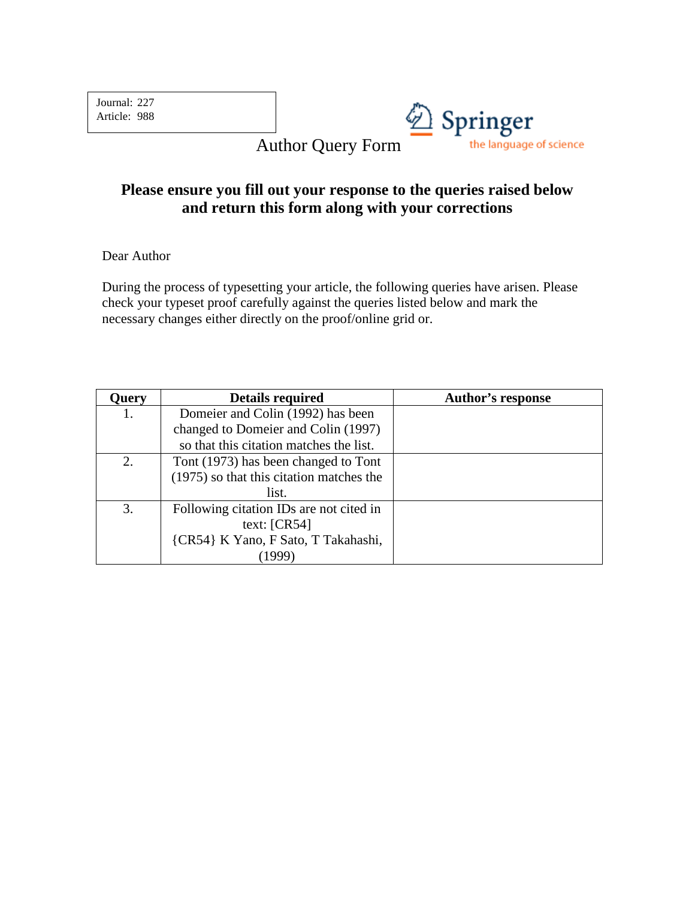Journal: 227 Article: 988



Author Query Form

## **Please ensure you fill out your response to the queries raised below and return this form along with your corrections**

Dear Author

During the process of typesetting your article, the following queries have arisen. Please check your typeset proof carefully against the queries listed below and mark the necessary changes either directly on the proof/online grid or.

| Query | <b>Details required</b>                  | <b>Author's response</b> |
|-------|------------------------------------------|--------------------------|
| 1.    | Domeier and Colin (1992) has been        |                          |
|       | changed to Domeier and Colin (1997)      |                          |
|       | so that this citation matches the list.  |                          |
| 2.    | Tont (1973) has been changed to Tont     |                          |
|       | (1975) so that this citation matches the |                          |
|       | list.                                    |                          |
| 3.    | Following citation IDs are not cited in  |                          |
|       | text: $[CR54]$                           |                          |
|       | {CR54} K Yano, F Sato, T Takahashi,      |                          |
|       |                                          |                          |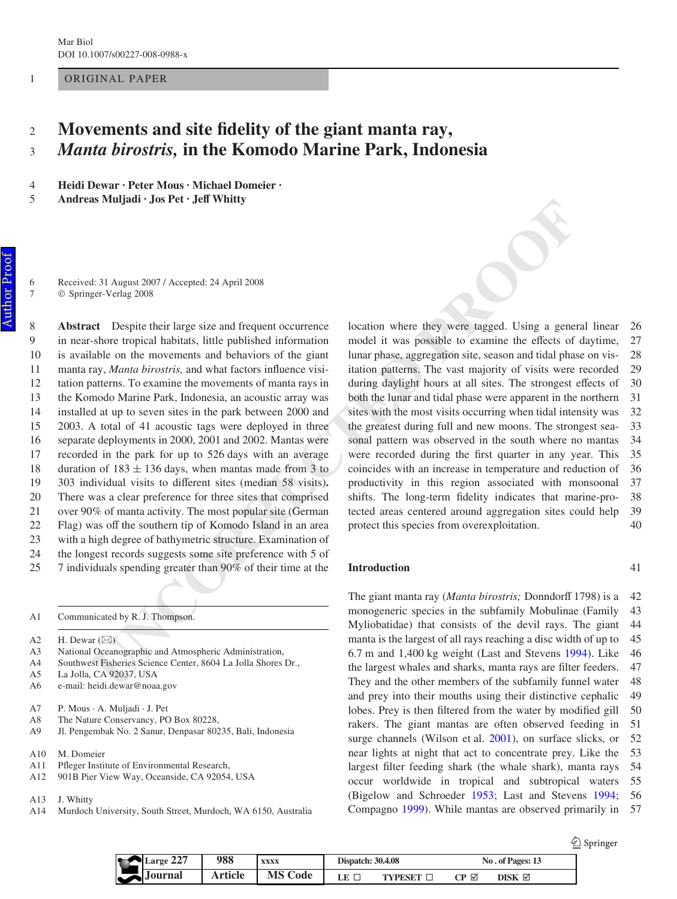## ORIGINAL PAPER

#### **Movements and site fidelity of the giant manta ray,** *Manta birostris,* **in the Komodo Marine Park, Indonesia** 2 3

**Heidi Dewar · Peter Mous · Michael Domeier ·**  4 5

Andreas Muljadi · Jos Pet · Jeff Whitty

Received: 31 August 2007 / Accepted: 24 April 2008 Springer-Verlag 2008

**UNITERAT:** A Anguate 2007 A Accorded: 24 April 2008<br>
21: 31 Aaguat 2007 / Accorded: 24 April 2008<br>
ErcyVeide 2008<br>
ErcyVeide 2008<br>
ErcyVeide 2008<br>
ErcyVeide 2008<br>
Ashore tropical habituas, little published information mod **Abstract** Despite their large size and frequent occurrence in near-shore tropical habitats, little published information is available on the movements and behaviors of the giant manta ray, *Manta birostris*, and what factors influence visitation patterns. To examine the movements of manta rays in the Komodo Marine Park, Indonesia, an acoustic array was installed at up to seven sites in the park between 2000 and 2003. A total of 41 acoustic tags were deployed in three separate deployments in 2000, 2001 and 2002. Mantas were recorded in the park for up to 526 days with an average duration of  $183 \pm 136$  days, when mantas made from 3 to 303 individual visits to different sites (median 58 visits). There was a clear preference for three sites that comprised over 90% of manta activity. The most popular site (German Flag) was off the southern tip of Komodo Island in an area with a high degree of bathymetric structure. Examination of the longest records suggests some site preference with 5 of 7 individuals spending greater than 90% of their time at the 8  $\Omega$ 10 11 12 13 14 15 16 17 18 19 20 21 22 23 24 25

- Communicated by R. J. Thompson. A1
- H. Dewar  $(\boxtimes)$ A2
- National Oceanographic and Atmospheric Administration, A3
- Southwest Fisheries Science Center, 8604 La Jolla Shores Dr., A4
- La Jolla, CA 92037, USA A5
- e-mail: heidi.dewar@noaa.gov A6
- P. Mous · A. Muljadi · J. Pet A7
- The Nature Conservancy, PO Box 80228, A8
- Jl. Pengembak No. 2 Sanur, Denpasar 80235, Bali, Indonesia A9
- M. Domeier A10
- Pfleger Institute of Environmental Research, A11
- 901B Pier View Way, Oceanside, CA 92054, USA A12
- J. Whitty A13
- Murdoch University, South Street, Murdoch, WA 6150, Australia A14

location where they were tagged. Using a general linear model it was possible to examine the effects of daytime, lunar phase, aggregation site, season and tidal phase on visitation patterns. The vast majority of visits were recorded during daylight hours at all sites. The strongest effects of both the lunar and tidal phase were apparent in the northern sites with the most visits occurring when tidal intensity was the greatest during full and new moons. The strongest seasonal pattern was observed in the south where no mantas were recorded during the first quarter in any year. This coincides with an increase in temperature and reduction of productivity in this region associated with monsoonal shifts. The long-term fidelity indicates that marine-protected areas centered around aggregation sites could help protect this species from overexploitation. 26 27 28 29 30 31 32 33 34 35 36 37 38 39 40

### **Introduction**

The giant manta ray (*Manta birostris*; Donndorff 1798) is a monogeneric species in the subfamily Mobulinae (Family Myliobatidae) that consists of the devil rays. The giant manta is the largest of all rays reaching a disc width of up to 6.7 m and 1,400 kg weight (Last and Stevens [1994\)](#page-17-0). Like the largest whales and sharks, manta rays are filter feeders. They and the other members of the subfamily funnel water and prey into their mouths using their distinctive cephalic lobes. Prey is then filtered from the water by modified gill rakers. The giant mantas are often observed feeding in surge channels (Wilson et al. [2001](#page-17-1)), on surface slicks, or near lights at night that act to concentrate prey. Like the largest filter feeding shark (the whale shark), manta rays occur worldwide in tropical and subtropical waters (Bigelow and Schroeder [1953;](#page-16-0) Last and Stevens [1994;](#page-17-0) Compagno [1999](#page-16-1)). While mantas are observed primarily in 42 43 44 45 46 47 48 49 50 51 52 53 54 55 56 57

**2** Springer

41

| Large 227<br>نسعه | 988     | <b>XXXX</b>    | <b>Dispatch: 30.4.08</b> |                                              |     | No. of Pages: 13 |
|-------------------|---------|----------------|--------------------------|----------------------------------------------|-----|------------------|
| $\sum$ Journal    | Article | <b>MS Code</b> |                          | $\blacksquare$ $\blacksquare$ $\blacksquare$ | ( M | disk ⊠           |

6 7

1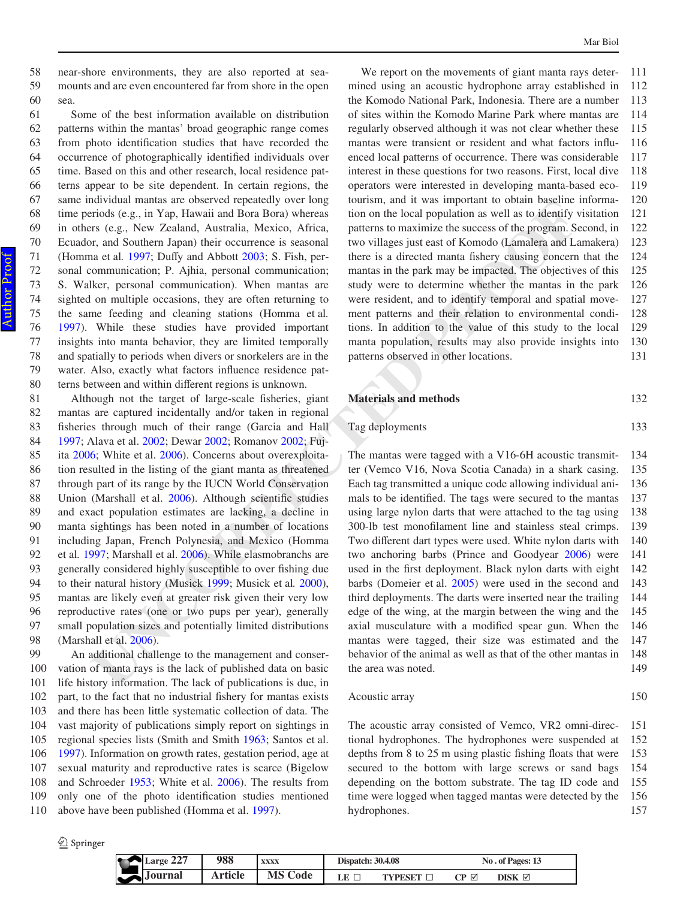near-shore environments, they are also reported at seamounts and are even encountered far from shore in the open sea. 58 59 60

Some of the best information available on distribution patterns within the mantas' broad geographic range comes from photo identification studies that have recorded the occurrence of photographically identified individuals over time. Based on this and other research, local residence patterns appear to be site dependent. In certain regions, the same individual mantas are observed repeatedly over long time periods (e.g., in Yap, Hawaii and Bora Bora) whereas in others (e.g., New Zealand, Australia, Mexico, Africa, Ecuador, and Southern Japan) their occurrence is seasonal (Homma et al. 1997; Duffy and Abbott 2003; S. Fish, personal communication; P. Ajhia, personal communication; S. Walker, personal communication). When mantas are sighted on multiple occasions, they are often returning to the same feeding and cleaning stations (Homma et al*.* [1997](#page-17-2)). While these studies have provided important insights into manta behavior, they are limited temporally and spatially to periods when divers or snorkelers are in the water. Also, exactly what factors influence residence patterns between and within different regions is unknown.

**Native and the state on the control of the state of the state of the state of the production and the state of the state of the state of the state of the state of the state of the state of the state of the state of the sta** Although not the target of large-scale fisheries, giant mantas are captured incidentally and/or taken in regional fisheries through much of their range (Garcia and Hall [1997](#page-17-3); Alava et al. 2002; Dewar 2002; Romanov 2002; Fujita [2006](#page-17-5); White et al. 2006). Concerns about overexploitation resulted in the listing of the giant manta as threatened through part of its range by the IUCN World Conservation Union (Marshall et al. 2006). Although scientific studies and exact population estimates are lacking, a decline in manta sightings has been noted in a number of locations including Japan, French Polynesia, and Mexico (Homma et al*.* [1997](#page-17-2); Marshall et al. 2006). While elasmobranchs are generally considered highly susceptible to over fishing due to their natural history (Musick 1999; Musick et al*.* 2000), mantas are likely even at greater risk given their very low reproductive rates (one or two pups per year), generally small population sizes and potentially limited distributions (Marshall et al. 2006). 81 82 83 84 85 86 87 88 89 90 91 92 93 94 95 96 97 98

An additional challenge to the management and conservation of manta rays is the lack of published data on basic life history information. The lack of publications is due, in part, to the fact that no industrial fishery for mantas exists and there has been little systematic collection of data. The vast majority of publications simply report on sightings in regional species lists (Smith and Smith [1963;](#page-17-10) Santos et al. [1997](#page-17-11)). Information on growth rates, gestation period, age at sexual maturity and reproductive rates is scarce (Bigelow and Schroeder [1953](#page-16-0); White et al. [2006](#page-17-6)). The results from only one of the photo identification studies mentioned above have been published (Homma et al. [1997](#page-17-2)). 99 100 101 102 103 104 105 106 107 108 109 110

2 Springer

We report on the movements of giant manta rays determined using an acoustic hydrophone array established in the Komodo National Park, Indonesia. There are a number of sites within the Komodo Marine Park where mantas are regularly observed although it was not clear whether these mantas were transient or resident and what factors influenced local patterns of occurrence. There was considerable interest in these questions for two reasons. First, local dive operators were interested in developing manta-based ecotourism, and it was important to obtain baseline information on the local population as well as to identify visitation patterns to maximize the success of the program. Second, in two villages just east of Komodo (Lamalera and Lamakera) there is a directed manta fishery causing concern that the mantas in the park may be impacted. The objectives of this study were to determine whether the mantas in the park were resident, and to identify temporal and spatial movement patterns and their relation to environmental conditions. In addition to the value of this study to the local manta population, results may also provide insights into patterns observed in other locations. 111 112 113 114 115 116 117 118 119 120 121 122 123 124 125 126 127 128 129 130 131

#### **Materials and methods** 132

Tag deployments

The mantas were tagged with a V16-6H acoustic transmitter (Vemco V16, Nova Scotia Canada) in a shark casing. Each tag transmitted a unique code allowing individual animals to be identified. The tags were secured to the mantas using large nylon darts that were attached to the tag using 300-lb test monofilament line and stainless steal crimps. Two different dart types were used. White nylon darts with two anchoring barbs (Prince and Goodyear [2006](#page-17-12)) were used in the first deployment. Black nylon darts with eight barbs (Domeier et al. 2005) were used in the second and third deployments. The darts were inserted near the trailing edge of the wing, at the margin between the wing and the axial musculature with a modified spear gun. When the mantas were tagged, their size was estimated and the behavior of the animal as well as that of the other mantas in the area was noted. 134 135 136 137 138 139 140 141 142 143 144 145 146 147 148 149

Acoustic array

150

133

The acoustic array consisted of Vemco, VR2 omni-directional hydrophones. The hydrophones were suspended at depths from  $8$  to  $25$  m using plastic fishing floats that were secured to the bottom with large screws or sand bags depending on the bottom substrate. The tag ID code and time were logged when tagged mantas were detected by the hydrophones. 151 152 153 154 155 156 157

| 227<br>Large 221      | 988            | <b>XXXX</b>    | <b>Dispatch: 30.4.08</b> |                | No. of Pages: 13 |                  |  |
|-----------------------|----------------|----------------|--------------------------|----------------|------------------|------------------|--|
| $\rightarrow$ Journal | <b>Article</b> | <b>MS Code</b> | LE E                     | <b>TYPESET</b> | CP⊠              | DISK $\boxtimes$ |  |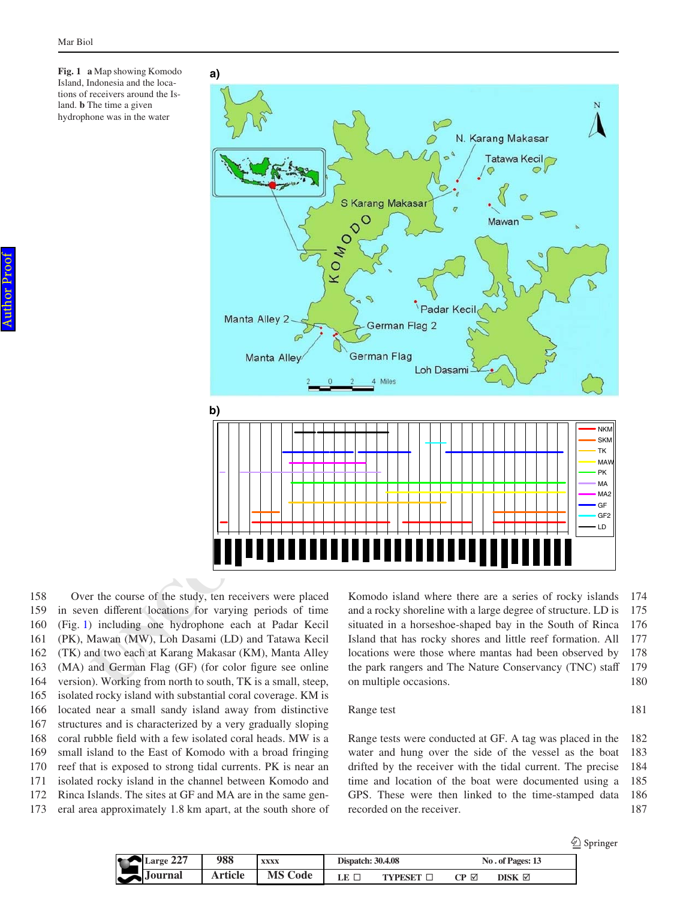<span id="page-7-0"></span>**Fig. 1 a** Map showing Komodo Island, Indonesia and the locations of receivers around the Island. **b** The time a given hydrophone was in the water



Over the course of the study, ten receivers were placed in seven different locations for varying periods of time (Fig. [1\)](#page-7-0) including one hydrophone each at Padar Kecil (PK), Mawan (MW), Loh Dasami (LD) and Tatawa Kecil (TK) and two each at Karang Makasar (KM), Manta Alley  $(MA)$  and German Flag  $(GF)$  (for color figure see online version). Working from north to south, TK is a small, steep, isolated rocky island with substantial coral coverage. KM is located near a small sandy island away from distinctive structures and is characterized by a very gradually sloping coral rubble field with a few isolated coral heads. MW is a small island to the East of Komodo with a broad fringing reef that is exposed to strong tidal currents. PK is near an isolated rocky island in the channel between Komodo and Rinca Islands. The sites at GF and MA are in the same general area approximately 1.8 km apart, at the south shore of 158 159 160 161 162 163 164 165 166 167 168 169 170 171 172 173

Komodo island where there are a series of rocky islands and a rocky shoreline with a large degree of structure. LD is situated in a horseshoe-shaped bay in the South of Rinca Island that has rocky shores and little reef formation. All locations were those where mantas had been observed by the park rangers and The Nature Conservancy (TNC) staff on multiple occasions. 174 175 176 177 178 179 180

## Range test

Range tests were conducted at GF. A tag was placed in the water and hung over the side of the vessel as the boat drifted by the receiver with the tidal current. The precise time and location of the boat were documented using a GPS. These were then linked to the time-stamped data recorded on the receiver. 182 183 184 185 186 187

181

|           |                |                |                          |                |     |                  | ℒ<br>Springer |
|-----------|----------------|----------------|--------------------------|----------------|-----|------------------|---------------|
| Large 227 | 988            | <b>XXXX</b>    | <b>Dispatch: 30.4.08</b> |                |     | No. of Pages: 13 |               |
| Journal   | <b>Article</b> | <b>MS Code</b> | LE                       | <b>TYPESET</b> | CP⊠ | DISK ⊠           |               |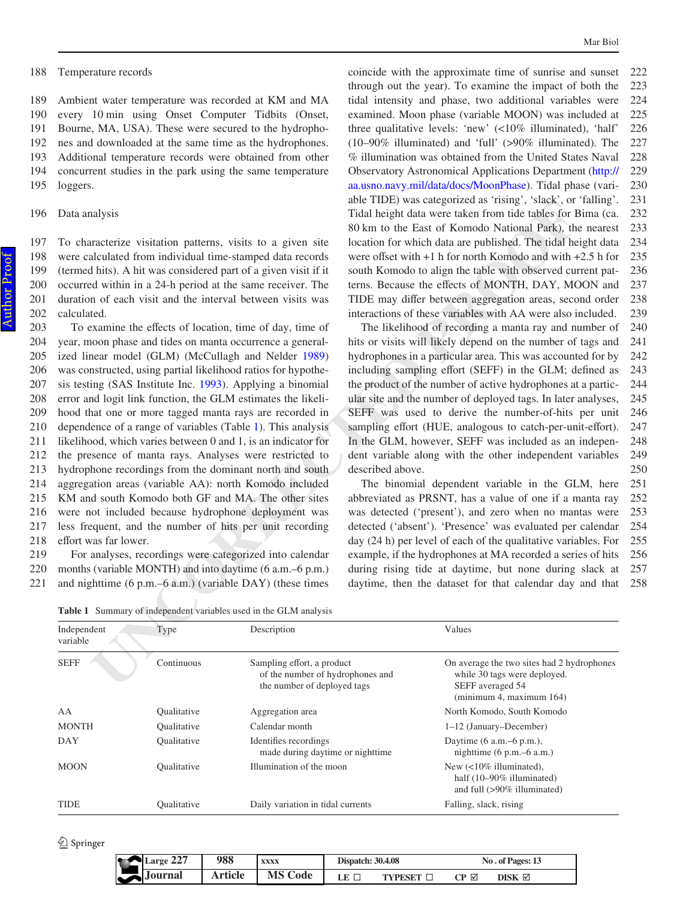Temperature records 188

Ambient water temperature was recorded at KM and MA every 10 min using Onset Computer Tidbits (Onset, Bourne, MA, USA). These were secured to the hydrophones and downloaded at the same time as the hydrophones. Additional temperature records were obtained from other concurrent studies in the park using the same temperature loggers. 189 190 191 192 193 194 195

To characterize visitation patterns, visits to a given site were calculated from individual time-stamped data records (termed hits). A hit was considered part of a given visit if it occurred within in a 24-h period at the same receiver. The duration of each visit and the interval between visits was calculated. 197 198 199 200 201 202

May is<br>
a grace of the protise and the content of the sack of the sack of the sack of the sack of the sack of Komolo National Park), the Theoretical Content<br>
May have the sack of Komolo National Park), the nucleical Park To examine the effects of location, time of day, time of year, moon phase and tides on manta occurrence a generalized linear model (GLM) (McCullagh and Nelder 1989) was constructed, using partial likelihood ratios for hypothesis testing (SAS Institute Inc. 1993). Applying a binomial error and logit link function, the GLM estimates the likelihood that one or more tagged manta rays are recorded in dependence of a range of variables (Table 1). This analysis likelihood, which varies between 0 and 1, is an indicator for the presence of manta rays. Analyses were restricted to hydrophone recordings from the dominant north and south aggregation areas (variable AA): north Komodo included KM and south Komodo both GF and MA. The other sites were not included because hydrophone deployment was less frequent, and the number of hits per unit recording effort was far lower. 203 204 205 206 207 208 209 210 211 212 213 214 215 216 217 218

For analyses, recordings were categorized into calendar months (variable MONTH) and into daytime (6 a.m.–6 p.m.) and nighttime (6 p.m.–6 a.m.) (variable DAY) (these times 219 220 221

coincide with the approximate time of sunrise and sunset through out the year). To examine the impact of both the tidal intensity and phase, two additional variables were examined. Moon phase (variable MOON) was included at three qualitative levels: 'new' (<10% illuminated), 'half' (10–90% illuminated) and 'full' (>90% illuminated). The % illumination was obtained from the United States Naval Observatory Astronomical Applications Department ([http://](http://aa.usno.navy.mil/data/docs/MoonPhase) [aa.usno.navy.mil/data/docs/MoonPhase\)](http://aa.usno.navy.mil/data/docs/MoonPhase). Tidal phase (variable TIDE) was categorized as 'rising', 'slack', or 'falling'. Tidal height data were taken from tide tables for Bima (ca. 80 km to the East of Komodo National Park), the nearest location for which data are published. The tidal height data were offset with  $+1$  h for north Komodo and with  $+2.5$  h for south Komodo to align the table with observed current patterns. Because the effects of MONTH, DAY, MOON and TIDE may differ between aggregation areas, second order interactions of these variables with AA were also included. 222 223 224 225 226 227 228 229 230 231 232 233 234 235 236 237 238 239

The likelihood of recording a manta ray and number of hits or visits will likely depend on the number of tags and hydrophones in a particular area. This was accounted for by including sampling effort (SEFF) in the GLM; defined as the product of the number of active hydrophones at a particular site and the number of deployed tags. In later analyses, SEFF was used to derive the number-of-hits per unit sampling effort (HUE, analogous to catch-per-unit-effort). In the GLM, however, SEFF was included as an independent variable along with the other independent variables described above. 240 241 242 243 244 245 246 247 248 249 250

The binomial dependent variable in the GLM, here abbreviated as PRSNT, has a value of one if a manta ray was detected ('present'), and zero when no mantas were detected ('absent'). 'Presence' was evaluated per calendar day (24 h) per level of each of the qualitative variables. For example, if the hydrophones at MA recorded a series of hits during rising tide at daytime, but none during slack at daytime, then the dataset for that calendar day and that 251 252 253 254 255 256 257 258

<span id="page-8-0"></span>**Table 1** Summary of independent variables used in the GLM analysis

| Independent<br>variable | Type                      | Description                                                                                   | Values                                                                                                                                        |
|-------------------------|---------------------------|-----------------------------------------------------------------------------------------------|-----------------------------------------------------------------------------------------------------------------------------------------------|
| <b>SEFF</b>             | Continuous                | Sampling effort, a product<br>of the number of hydrophones and<br>the number of deployed tags | On average the two sites had 2 hydrophones<br>while 30 tags were deployed.<br>SEFF averaged 54<br>$(\text{minimum } 4, \text{ maximum } 164)$ |
| AA                      | <i><b>Oualitative</b></i> | Aggregation area                                                                              | North Komodo, South Komodo                                                                                                                    |
| <b>MONTH</b>            | <i><b>Oualitative</b></i> | Calendar month                                                                                | 1-12 (January-December)                                                                                                                       |
| DAY                     | Qualitative               | Identifies recordings<br>made during daytime or nighttime                                     | Daytime $(6$ a.m. $-6$ p.m.),<br>nighttime $(6 \text{ p.m.} - 6 \text{ a.m.})$                                                                |
| <b>MOON</b>             | <b>Qualitative</b>        | Illumination of the moon                                                                      | New $\left($ <10% illuminated),<br>half $(10-90\%$ illuminated)<br>and full (>90% illuminated)                                                |
| <b>TIDE</b>             | Qualitative               | Daily variation in tidal currents                                                             | Falling, slack, rising                                                                                                                        |

| 227<br>Large 22/ | 988     | XXXX           | <b>Dispatch: 30.4.08</b> |                | No. of Pages: 13                                  |        |
|------------------|---------|----------------|--------------------------|----------------|---------------------------------------------------|--------|
| <b>Journal</b>   | Article | <b>MS Code</b> | LE.                      | <b>TYPESET</b> | $\mathbb{C}\mathbf{P}$ $\mathbb{\mathbf{\Sigma}}$ | DISK ⊠ |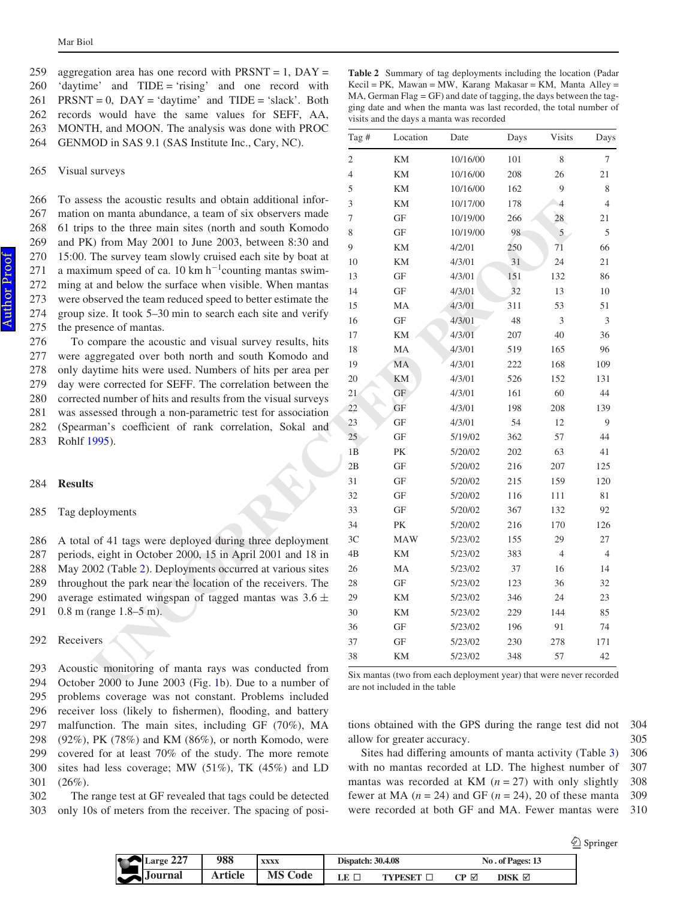To assess the acoustic results and obtain additional information on manta abundance, a team of six observers made 61 trips to the three main sites (north and south Komodo and PK) from May 2001 to June 2003, between 8:30 and 15:00. The survey team slowly cruised each site by boat at a maximum speed of ca. 10  $km h^{-1}$ counting mantas swimming at and below the surface when visible. When mantas were observed the team reduced speed to better estimate the group size. It took 5–30 min to search each site and verify the presence of mantas. 266 267 268 269 270 271 272 273 274 275

To compare the acoustic and visual survey results, hits were aggregated over both north and south Komodo and only daytime hits were used. Numbers of hits per area per day were corrected for SEFF. The correlation between the corrected number of hits and results from the visual surveys was assessed through a non-parametric test for association (Spearman's coefficient of rank correlation, Sokal and Rohlf [1995](#page-17-15)). 276 277 278 279 280 281 282 283

#### **Results** 284

Tag deployments 285

A total of 41 tags were deployed during three deployment periods, eight in October 2000, 15 in April 2001 and 18 in May 2002 (Table 2). Deployments occurred at various sites throughout the park near the location of the receivers. The average estimated wingspan of tagged mantas was 3.6  $\pm$ 0.8 m (range 1.8–5 m). 286 287 288 289 290 291

Receivers 292

Acoustic monitoring of manta rays was conducted from October 2000 to June 2003 (Fig. 1b). Due to a number of problems coverage was not constant. Problems included receiver loss (likely to fishermen), flooding, and battery malfunction. The main sites, including GF (70%), MA (92%), PK (78%) and KM (86%), or north Komodo, were covered for at least 70% of the study. The more remote sites had less coverage; MW (51%), TK (45%) and LD  $(26\%).$ 293 294 295 296 297 298 299 300 301

The range test at GF revealed that tags could be detected only 10s of meters from the receiver. The spacing of posi-302 303

<span id="page-9-0"></span>**Table 2** Summary of tag deployments including the location (Padar Kecil = PK, Mawan = MW, Karang Makasar = KM, Manta Alley = MA, German Flag  $=$  GF) and date of tagging, the days between the tagging date and when the manta was last recorded, the total number of visits and the days a manta was recorded

| 11, and MOOTY. The analysis was done with I ROC<br>[OD in SAS 9.1 (SAS Institute Inc., Cary, NC).     | Tag #          | Location                                                                                               | Date     | Days | <b>Visits</b>  | Days           |
|-------------------------------------------------------------------------------------------------------|----------------|--------------------------------------------------------------------------------------------------------|----------|------|----------------|----------------|
|                                                                                                       | $\overline{2}$ | KM                                                                                                     | 10/16/00 | 101  | 8              | 7              |
| surveys                                                                                               | $\overline{4}$ | KM                                                                                                     | 10/16/00 | 208  | 26             | 21             |
|                                                                                                       | 5              | KΜ                                                                                                     | 10/16/00 | 162  | 9              | 8              |
| ess the acoustic results and obtain additional infor-                                                 | 3              | KΜ                                                                                                     | 10/17/00 | 178  | $\overline{4}$ | $\overline{4}$ |
| on manta abundance, a team of six observers made                                                      | 7              | GF                                                                                                     | 10/19/00 | 266  | 28             | 21             |
| s to the three main sites (north and south Komodo                                                     | 8              | GF                                                                                                     | 10/19/00 | 98   | 5              | 5              |
| $\zeta$ ) from May 2001 to June 2003, between 8:30 and                                                | 9              | KΜ                                                                                                     | 4/2/01   | 250  | 71             | 66             |
| The survey team slowly cruised each site by boat at                                                   | 10             | KΜ                                                                                                     | 4/3/01   | 31   | 24             | 21             |
| mum speed of ca. 10 km $h^{-1}$ counting mantas swim-                                                 | 13             | GF                                                                                                     | 4/3/01   | 151  | 132            | 86             |
| t and below the surface when visible. When mantas                                                     | 14             | GF                                                                                                     | 4/3/01   | 32   | 13             | 10             |
| bserved the team reduced speed to better estimate the                                                 | 15             | MA                                                                                                     | 4/3/01   | 311  | 53             | 51             |
| size. It took 5–30 min to search each site and verify                                                 | 16             | GF                                                                                                     | 4/3/01   | 48   | 3              | 3              |
| sence of mantas.                                                                                      | 17             | KΜ                                                                                                     | 4/3/01   | 207  | 40             | 36             |
| compare the acoustic and visual survey results, hits                                                  | 18             | MA                                                                                                     | 4/3/01   | 519  | 165            | 96             |
| ggregated over both north and south Komodo and<br>sytime hits were used. Numbers of hits per area per | 19             | MA                                                                                                     | 4/3/01   | 222  | 168            | 109            |
| re corrected for SEFF. The correlation between the                                                    | 20             | KM                                                                                                     | 4/3/01   | 526  | 152            | 131            |
| ed number of hits and results from the visual surveys                                                 | 21             | GF                                                                                                     | 4/3/01   | 161  | 60             | 44             |
| sessed through a non-parametric test for association                                                  | 22             | GF                                                                                                     | 4/3/01   | 198  | 208            | 139            |
| nan's coefficient of rank correlation, Sokal and                                                      | 23             | GF                                                                                                     | 4/3/01   | 54   | 12             | 9              |
| $1995$ ).                                                                                             | 25             | GF                                                                                                     | 5/19/02  | 362  | 57             | 44             |
|                                                                                                       | 1B             | PK                                                                                                     | 5/20/02  | 202  | 63             | 41             |
|                                                                                                       | 2B             | GF                                                                                                     | 5/20/02  | 216  | 207            | 125            |
|                                                                                                       | 31             | GF                                                                                                     | 5/20/02  | 215  | 159            | 120            |
|                                                                                                       | 32             | GF                                                                                                     | 5/20/02  | 116  | 111            | 81             |
| ployments                                                                                             | 33             | GF                                                                                                     | 5/20/02  | 367  | 132            | 92             |
|                                                                                                       | 34             | PK                                                                                                     | 5/20/02  | 216  | 170            | 126            |
| of 41 tags were deployed during three deployment                                                      | 3C             | <b>MAW</b>                                                                                             | 5/23/02  | 155  | 29             | 27             |
| s, eight in October 2000, 15 in April 2001 and 18 in                                                  | 4B             | KM                                                                                                     | 5/23/02  | 383  | $\overline{4}$ | $\overline{4}$ |
| 002 (Table 2). Deployments occurred at various sites                                                  | 26             | MA                                                                                                     | 5/23/02  | 37   | 16             | 14             |
| nout the park near the location of the receivers. The                                                 | 28             | GF                                                                                                     | 5/23/02  | 123  | 36             | 32             |
| e estimated wingspan of tagged mantas was $3.6 \pm$                                                   | 29             | KM                                                                                                     | 5/23/02  | 346  | 24             | 23             |
| range 1.8–5 m).                                                                                       | 30             | KM                                                                                                     | 5/23/02  | 229  | 144            | 85             |
|                                                                                                       | 36             | GF                                                                                                     | 5/23/02  | 196  | 91             | 74             |
| ers                                                                                                   | 37             | GF                                                                                                     | 5/23/02  | 230  | 278            | 171            |
|                                                                                                       | 38             | <b>KM</b>                                                                                              | 5/23/02  | 348  | 57             | 42             |
| ic monitoring of manta rays was conducted from<br>r 2000 to June 2003 (Fig. 1b). Due to a number of   |                | Six mantas (two from each deployment year) that were never recorded<br>are not included in the table – |          |      |                |                |

Six mantas (two from each deployment year) that were never recorded are not included in the table

tions obtained with the GPS during the range test did not allow for greater accuracy. 304 305

Sites had differing amounts of manta activity (Table  $3$ ) with no mantas recorded at LD. The highest number of mantas was recorded at KM  $(n = 27)$  with only slightly fewer at MA  $(n = 24)$  and GF  $(n = 24)$ , 20 of these manta were recorded at both GF and MA. Fewer mantas were 306 307 308 309 310

| 227<br>Large 22/ | 988     | <b>XXXX</b> | <b>Dispatch: 30.4.08</b> |          | No. of Pages: 13 |           |  |
|------------------|---------|-------------|--------------------------|----------|------------------|-----------|--|
| ournal<br>JU.    | Article | Code<br>MS  | LE '                     | . VDFCFT | r ⊠              | DISK<br>M |  |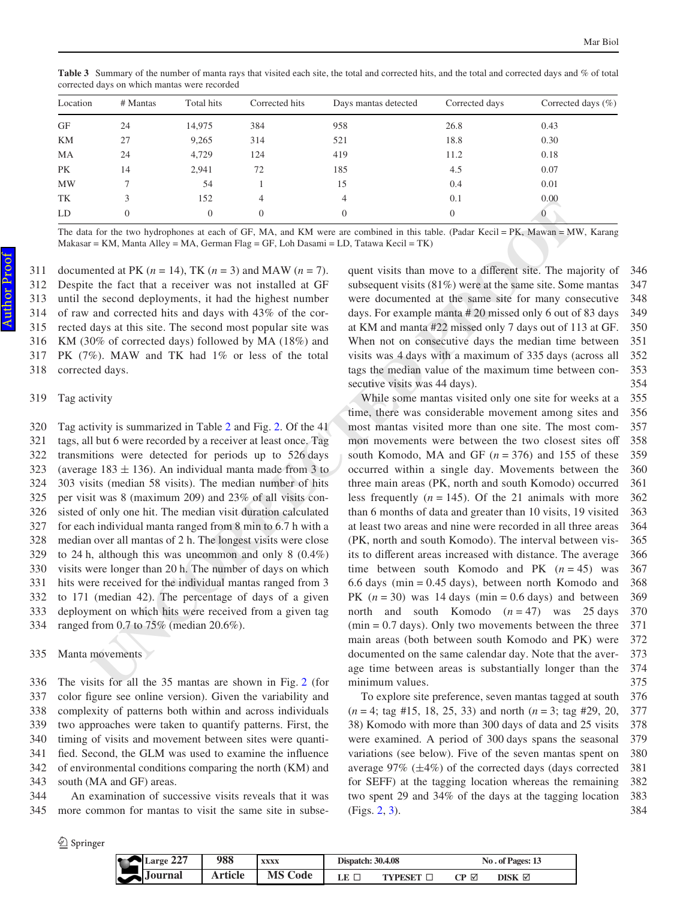| Location  | $#$ Mantas | Total hits | Corrected hits | Days mantas detected | Corrected days | Corrected days $(\%)$ |
|-----------|------------|------------|----------------|----------------------|----------------|-----------------------|
| GF        | 24         | 14,975     | 384            | 958                  | 26.8           | 0.43                  |
| KM        | 27         | 9,265      | 314            | 521                  | 18.8           | 0.30                  |
| MA        | 24         | 4,729      | 124            | 419                  | 11.2           | 0.18                  |
| PK        | 14         | 2,941      | 72             | 185                  | 4.5            | 0.07                  |
| <b>MW</b> |            | 54         |                | 15                   | 0.4            | 0.01                  |
| TK        |            | 152        | $\overline{4}$ | 4                    | 0.1            | 0.00                  |
| LD        |            | $\theta$   | $\Omega$       | $\theta$             | 0              |                       |

<span id="page-10-0"></span>**Table 3** Summary of the number of manta rays that visited each site, the total and corrected hits, and the total and corrected days and % of total corrected days on which mantas were recorded

The data for the two hydrophones at each of GF, MA, and KM were are combined in this table. (Padar Kecil = PK, Mawan = MW, Karang  $Makasar = KM$ , Manta Alley = MA, German Flag = GF, Loh Dasami = LD, Tatawa Kecil = TK)

documented at PK  $(n = 14)$ , TK  $(n = 3)$  and MAW  $(n = 7)$ . Despite the fact that a receiver was not installed at GF until the second deployments, it had the highest number of raw and corrected hits and days with 43% of the corrected days at this site. The second most popular site was KM (30% of corrected days) followed by MA (18%) and PK (7%). MAW and TK had 1% or less of the total corrected days. 311 312 313 314 315 316 317 318

#### Tag activity 319

Tag activity is summarized in Table 2 and Fig. 2. Of the 41 tags, all but 6 were recorded by a receiver at least once. Tag transmitions were detected for periods up to 526 days (average  $183 \pm 136$ ). An individual manta made from 3 to 303 visits (median 58 visits). The median number of hits per visit was 8 (maximum 209) and 23% of all visits consisted of only one hit. The median visit duration calculated for each individual manta ranged from 8 min to 6.7 h with a median over all mantas of 2 h. The longest visits were close to 24 h, although this was uncommon and only 8 (0.4%) visits were longer than 20 h. The number of days on which hits were received for the individual mantas ranged from 3 to 171 (median 42). The percentage of days of a given deployment on which hits were received from a given tag ranged from 0.7 to 75% (median 20.6%). 320 321 322 323 324 325 326 327 328 329 330 331 332 333 334

Manta movements 335

The visits for all the 35 mantas are shown in Fig. 2 (for color figure see online version). Given the variability and complexity of patterns both within and across individuals two approaches were taken to quantify patterns. First, the timing of visits and movement between sites were quantified. Second, the GLM was used to examine the influence of environmental conditions comparing the north (KM) and south (MA and GF) areas. 336 337 338 339 340 341 342 343

An examination of successive visits reveals that it was more common for mantas to visit the same site in subse-344 345

 $\mathcal{D}$  Springer

quent visits than move to a different site. The majority of subsequent visits (81%) were at the same site. Some mantas were documented at the same site for many consecutive days. For example manta # 20 missed only 6 out of 83 days at KM and manta #22 missed only 7 days out of 113 at GF. When not on consecutive days the median time between visits was 4 days with a maximum of 335 days (across all tags the median value of the maximum time between consecutive visits was 44 days). 346 347 348 349 350 351 352 353 354

**UNCORRECTED PROOF** While some mantas visited only one site for weeks at a time, there was considerable movement among sites and most mantas visited more than one site. The most common movements were between the two closest sites off south Komodo, MA and GF  $(n = 376)$  and 155 of these occurred within a single day. Movements between the three main areas (PK, north and south Komodo) occurred less frequently  $(n = 145)$ . Of the 21 animals with more than 6 months of data and greater than 10 visits, 19 visited at least two areas and nine were recorded in all three areas (PK, north and south Komodo). The interval between visits to different areas increased with distance. The average time between south Komodo and PK  $(n = 45)$  was 6.6 days (min = 0.45 days), between north Komodo and PK  $(n = 30)$  was 14 days  $(min = 0.6$  days) and between north and south Komodo  $(n = 47)$  was 25 days  $(\text{min} = 0.7 \text{ days})$ . Only two movements between the three main areas (both between south Komodo and PK) were documented on the same calendar day. Note that the average time between areas is substantially longer than the minimum values. 355 356 357 358 359 360 361 362 363 364 365 366 367 368 369 370 371 372 373 374 375

> To explore site preference, seven mantas tagged at south (*n* = 4; tag #15, 18, 25, 33) and north (*n* = 3; tag #29, 20, 38) Komodo with more than 300 days of data and 25 visits were examined. A period of 300 days spans the seasonal variations (see below). Five of the seven mantas spent on average  $97\%$  ( $\pm 4\%$ ) of the corrected days (days corrected for SEFF) at the tagging location whereas the remaining two spent 29 and 34% of the days at the tagging location (Figs. [2,](#page-11-0) [3\)](#page-11-1). 376 377 378 379 380 381 382 383 384

**Large 227 988 xxxx Journal Article MS Code Dispatch: 30.4.08** No. of Pages: 13 **LE**  $\Box$  **TYPESET**  $\Box$  **CP**  $\Box$  **DISK -**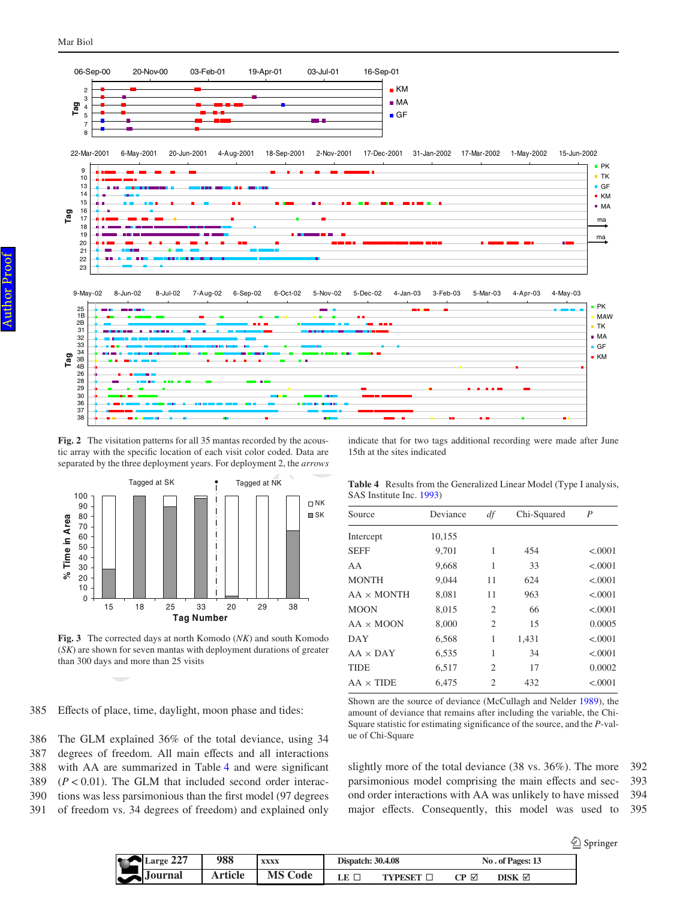

<span id="page-11-0"></span>Fig. 2 The visitation patterns for all 35 mantas recorded by the acoustic array with the specific location of each visit color coded. Data are separated by the three deployment years. For deployment 2, the *arrows*



<span id="page-11-1"></span>**Fig. 3** The corrected days at north Komodo (*NK*) and south Komodo (*SK*) are shown for seven mantas with deployment durations of greater than 300 days and more than 25 visits

Effects of place, time, daylight, moon phase and tides: 385

The GLM explained 36% of the total deviance, using 34 degrees of freedom. All main effects and all interactions with AA are summarized in Table [4](#page-11-2) and were significant  $(P < 0.01)$ . The GLM that included second order interactions was less parsimonious than the first model (97 degrees of freedom vs. 34 degrees of freedom) and explained only 386 387 388 389 390 391

indicate that for two tags additional recording were made after June 15th at the sites indicated

| Tagged at SK | Tagged at NK | <b>Table 4</b> Results from the Generalized Linear Model (Type I analysis, |
|--------------|--------------|----------------------------------------------------------------------------|
|              |              | SAS Institute Inc. 1993)                                                   |

<span id="page-11-2"></span>

| Source            | Deviance | df | Chi-Squared | $\boldsymbol{P}$ |
|-------------------|----------|----|-------------|------------------|
| Intercept         | 10,155   |    |             |                  |
| <b>SEFF</b>       | 9,701    | 1  | 454         | < .0001          |
| AA                | 9,668    | 1  | 33          | < .0001          |
| <b>MONTH</b>      | 9.044    | 11 | 624         | < .0001          |
| $AA \times MONTH$ | 8.081    | 11 | 963         | < .0001          |
| <b>MOON</b>       | 8.015    | 2  | 66          | < .0001          |
| $AA \times MOON$  | 8.000    | 2  | 15          | 0.0005           |
| DAY               | 6,568    | 1  | 1,431       | < .0001          |
| $AA \times DAY$   | 6,535    | 1  | 34          | < .0001          |
| <b>TIDE</b>       | 6,517    | 2  | 17          | 0.0002           |
| $AA \times TIDE$  | 6.475    | 2  | 432         | < .0001          |

Shown are the source of deviance (McCullagh and Nelder [1989](#page-17-13)), the amount of deviance that remains after including the variable, the Chi-Square statistic for estimating significance of the source, and the *P*-value of Chi-Square

slightly more of the total deviance (38 vs. 36%). The more parsimonious model comprising the main effects and second order interactions with AA was unlikely to have missed major effects. Consequently, this model was used to 392 393 394 395

| הרח<br>Large $221$ | 988     | <b>XXXX</b> | <b>Dispatch: 30.4.08</b> |          |                                              | No. of Pages: 13 |
|--------------------|---------|-------------|--------------------------|----------|----------------------------------------------|------------------|
| <b>Journal</b>     | Article | Code        | LE                       | 'VDFSF'I | $\mathbb{C}\mathbf{P}$ $\mathbb{\mathbb{Z}}$ | DISK $\boxtimes$ |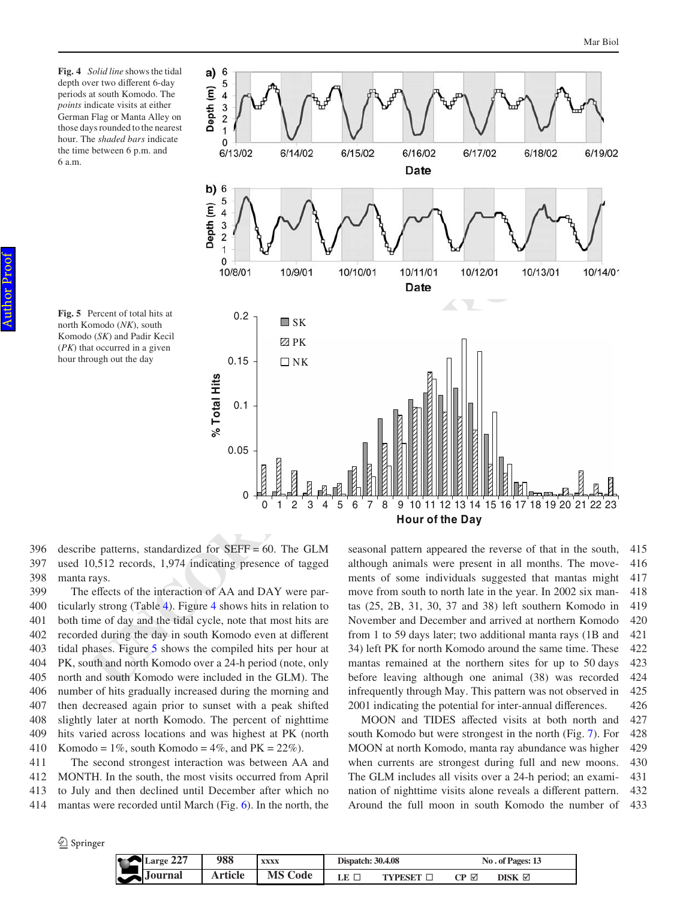<span id="page-12-0"></span>**Fig. 4** *Solid line* shows the tidal depth over two different 6-day periods at south Komodo. The *points* indicate visits at either German Flag or Manta Alley on those days rounded to the nearest hour. The *shaded bars* indicate the time between 6 p.m. and 6 a.m.

<span id="page-12-1"></span>



describe patterns, standardized for SEFF = 60. The GLM used 10,512 records, 1,974 indicating presence of tagged manta rays. 396 397 398

The effects of the interaction of AA and DAY were particularly strong (Table 4). Figure 4 shows hits in relation to both time of day and the tidal cycle, note that most hits are recorded during the day in south Komodo even at different tidal phases. Figure 5 shows the compiled hits per hour at PK, south and north Komodo over a 24-h period (note, only north and south Komodo were included in the GLM). The number of hits gradually increased during the morning and then decreased again prior to sunset with a peak shifted slightly later at north Komodo. The percent of nighttime hits varied across locations and was highest at PK (north Komodo = 1%, south Komodo = 4%, and  $PK = 22\%$ ). 399 400 401 402 403 404 405 406 407 408 409 410

The second strongest interaction was between AA and MONTH. In the south, the most visits occurred from April to July and then declined until December after which no mantas were recorded until March (Fig. [6](#page-13-0)). In the north, the 411 412 413 414

seasonal pattern appeared the reverse of that in the south, although animals were present in all months. The movements of some individuals suggested that mantas might move from south to north late in the year. In 2002 six mantas (25, 2B, 31, 30, 37 and 38) left southern Komodo in November and December and arrived at northern Komodo from 1 to 59 days later; two additional manta rays (1B and 34) left PK for north Komodo around the same time. These mantas remained at the northern sites for up to 50 days before leaving although one animal (38) was recorded infrequently through May. This pattern was not observed in 2001 indicating the potential for inter-annual differences. 415 416 417 418 419 420 421 422 423 424 425 426

MOON and TIDES affected visits at both north and south Komodo but were strongest in the north (Fig. [7\)](#page-13-1). For MOON at north Komodo, manta ray abundance was higher when currents are strongest during full and new moons. The GLM includes all visits over a 24-h period; an examination of nighttime visits alone reveals a different pattern. Around the full moon in south Komodo the number of 427 428 429 430 431 432 433

| <b>Section</b> | Large 227             | 988            | <b>XXXX</b>    | <b>Dispatch: 30.4.08</b> |         |      | No. of Pages: 13 |
|----------------|-----------------------|----------------|----------------|--------------------------|---------|------|------------------|
| $\tilde{}$     | $\rightarrow$ Journal | <b>Article</b> | <b>MS Code</b> | LE.                      | TYPESET | CP ⊠ | DISK ⊠           |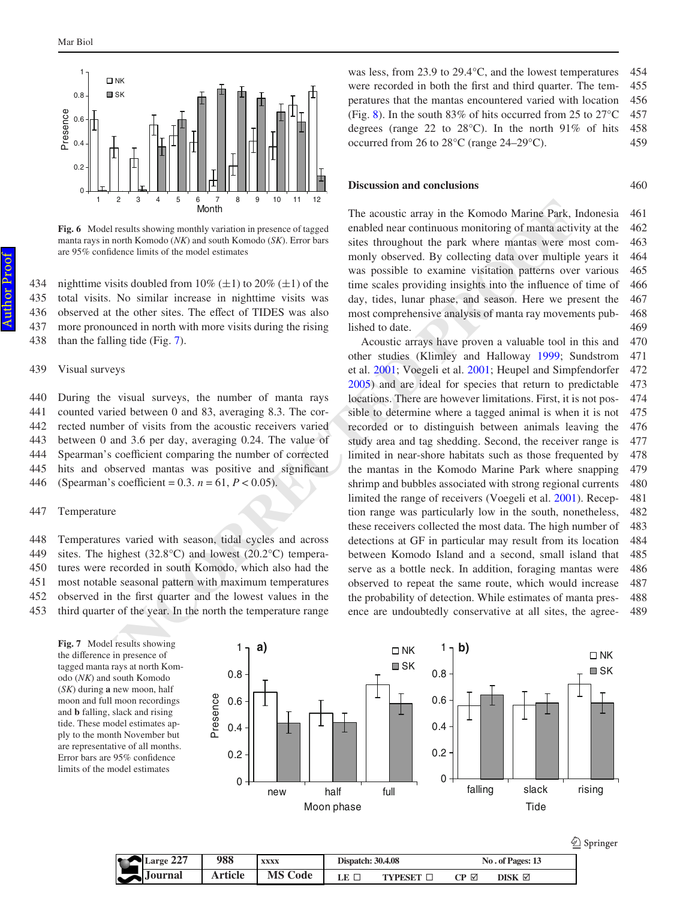

<span id="page-13-0"></span>**Fig. 6** Model results showing monthly variation in presence of tagged manta rays in north Komodo (*NK*) and south Komodo (*SK*). Error bars are 95% confidence limits of the model estimates

nighttime visits doubled from 10% ( $\pm$ 1) to 20% ( $\pm$ 1) of the total visits. No similar increase in nighttime visits was observed at the other sites. The effect of TIDES was also more pronounced in north with more visits during the rising than the falling tide (Fig. 7). 434 435 436 437 438

#### Visual surveys 439

During the visual surveys, the number of manta rays counted varied between 0 and 83, averaging 8.3. The corrected number of visits from the acoustic receivers varied between 0 and 3.6 per day, averaging 0.24. The value of Spearman's coefficient comparing the number of corrected hits and observed mantas was positive and significant (Spearman's coefficient =  $0.3. n = 61, P < 0.05$ ). 440 441 442 443 444 445 446

#### Temperature 447

Temperatures varied with season, tidal cycles and across sites. The highest  $(32.8^{\circ}C)$  and lowest  $(20.2^{\circ}C)$  temperatures were recorded in south Komodo, which also had the most notable seasonal pattern with maximum temperatures observed in the first quarter and the lowest values in the 448 449 450 451 452

third quarter of the year. In the north the temperature range 453

<span id="page-13-1"></span>**Fig. 7** Model results showing the difference in presence of tagged manta rays at north Komodo (*NK*) and south Komodo (*SK*) during **a** new moon, half moon and full moon recordings and **b** falling, slack and rising tide. These model estimates apply to the month November but are representative of all months. Error bars are 95% confidence limits of the model estimates



was less, from 23.9 to 29.4°C, and the lowest temperatures were recorded in both the first and third quarter. The temperatures that the mantas encountered varied with location (Fig. [8\)](#page-14-0). In the south 83% of hits occurred from 25 to 27°C degrees (range 22 to  $28^{\circ}$ C). In the north 91% of hits

460

occurred from 26 to 28°C (range 24–29°C).

### **Discussion and conclusions**

The acoustic array in the Komodo Marine Park, Indonesia enabled near continuous monitoring of manta activity at the sites throughout the park where mantas were most commonly observed. By collecting data over multiple years it was possible to examine visitation patterns over various time scales providing insights into the influence of time of day, tides, lunar phase, and season. Here we present the most comprehensive analysis of manta ray movements published to date. 461 462 463 464 465 466 467 468 469

The accuratic array in the Komrodo Marine Park, Ind.<br>
Underly a state and the controllation in preacure of tagged entable these the model of the model of the model of the model of the model of the model of the model of th Acoustic arrays have proven a valuable tool in this and other studies (Klimley and Halloway 1999; Sundstrom et al. 2001; Voegeli et al. 2001; Heupel and Simpfendorfer 2005) and are ideal for species that return to predictable locations. There are however limitations. First, it is not possible to determine where a tagged animal is when it is not recorded or to distinguish between animals leaving the study area and tag shedding. Second, the receiver range is limited in near-shore habitats such as those frequented by the mantas in the Komodo Marine Park where snapping shrimp and bubbles associated with strong regional currents limited the range of receivers (Voegeli et al. 2001). Reception range was particularly low in the south, nonetheless, these receivers collected the most data. The high number of detections at GF in particular may result from its location between Komodo Island and a second, small island that serve as a bottle neck. In addition, foraging mantas were observed to repeat the same route, which would increase the probability of detection. While estimates of manta presence are undoubtedly conservative at all sites, the agree-470 471 472 473 474 475 476 477 478 479 480 481 482 483 484 485 486 487 488 489

|           |         |                |                          |                  |     |                    | Springer |
|-----------|---------|----------------|--------------------------|------------------|-----|--------------------|----------|
| Large 227 | 988     | <b>XXXX</b>    | <b>Dispatch: 30.4.08</b> |                  |     | No. of Pages: 13   |          |
| Journal   | Article | <b>MS Code</b> | LE I                     | <b>TYPESET I</b> | CP⊠ | $DISK \ \boxtimes$ |          |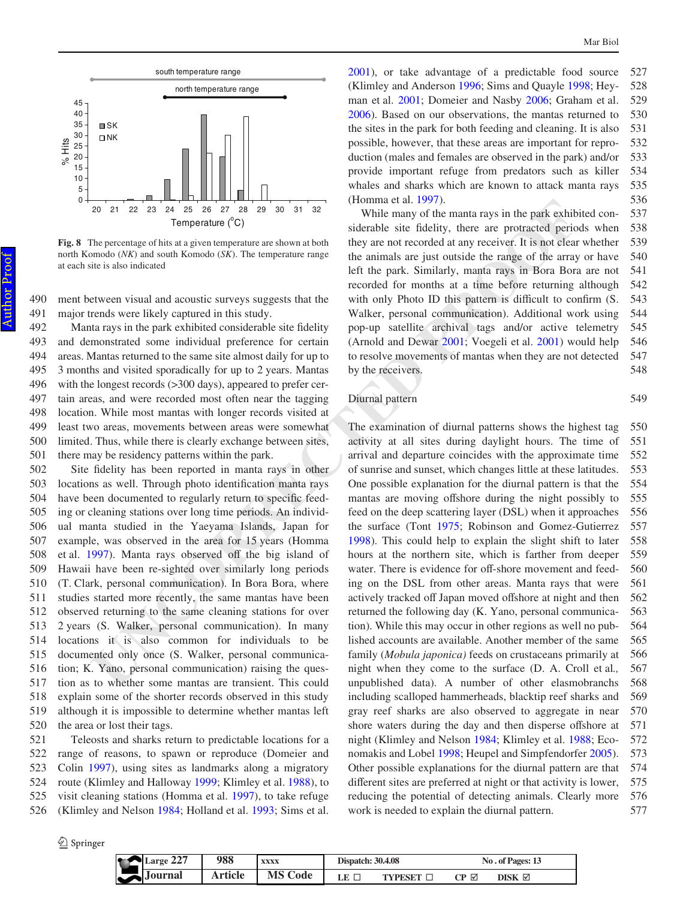

<span id="page-14-0"></span>**Fig. 8** The percentage of hits at a given temperature are shown at both north Komodo (*NK*) and south Komodo (*SK*). The temperature range at each site is also indicated

ment between visual and acoustic surveys suggests that the major trends were likely captured in this study. 490 491

Manta rays in the park exhibited considerable site fidelity and demonstrated some individual preference for certain areas. Mantas returned to the same site almost daily for up to 3 months and visited sporadically for up to 2 years. Mantas with the longest records (>300 days), appeared to prefer certain areas, and were recorded most often near the tagging location. While most mantas with longer records visited at least two areas, movements between areas were somewhat limited. Thus, while there is clearly exchange between sites, there may be residency patterns within the park. 492 493 494 495 496 497 498 499 500 501

Site fidelity has been reported in manta rays in other locations as well. Through photo identification manta rays have been documented to regularly return to specific feeding or cleaning stations over long time periods. An individual manta studied in the Yaeyama Islands, Japan for example, was observed in the area for 15 years (Homma et al. 1997). Manta rays observed off the big island of Hawaii have been re-sighted over similarly long periods (T. Clark, personal communication). In Bora Bora, where studies started more recently, the same mantas have been observed returning to the same cleaning stations for over 2 years (S. Walker, personal communication). In many locations it is also common for individuals to be documented only once (S. Walker, personal communication; K. Yano, personal communication) raising the question as to whether some mantas are transient. This could explain some of the shorter records observed in this study although it is impossible to determine whether mantas left the area or lost their tags. 502 503 504 505 506 507 508 509 510 511 512 513 514 515 516 517 518 519 520

Teleosts and sharks return to predictable locations for a range of reasons, to spawn or reproduce (Domeier and Colin [1997\)](#page-16-6), using sites as landmarks along a migratory route (Klimley and Halloway [1999;](#page-17-16) Klimley et al. [1988](#page-17-20)), to visit cleaning stations (Homma et al. [1997\)](#page-17-2), to take refuge (Klimley and Nelson [1984](#page-17-21); Holland et al. [1993](#page-17-22); Sims et al. 521 522 523 524 525 526

 $\bigcirc$  Springer

[2001](#page-17-23)), or take advantage of a predictable food source (Klimley and Anderson [1996;](#page-17-24) Sims and Quayle [1998;](#page-17-25) Heyman et al. [2001](#page-17-26); Domeier and Nasby [2006;](#page-16-7) Graham et al. [2006](#page-17-27)). Based on our observations, the mantas returned to the sites in the park for both feeding and cleaning. It is also possible, however, that these areas are important for reproduction (males and females are observed in the park) and/or provide important refuge from predators such as killer whales and sharks which are known to attack manta rays (Homma et al. [1997](#page-17-2)). 527 528 529 530 531 532 533 534 535 536

While many of the manta rays in the park exhibited considerable site fidelity, there are protracted periods when they are not recorded at any receiver. It is not clear whether the animals are just outside the range of the array or have left the park. Similarly, manta rays in Bora Bora are not recorded for months at a time before returning although with only Photo ID this pattern is difficult to confirm (S. Walker, personal communication). Additional work using pop-up satellite archival tags and/or active telemetry (Arnold and Dewar 2001; Voegeli et al. 2001) would help to resolve movements of mantas when they are not detected by the receivers. 537 538 539 540 541 542 543 544 545 546 547 548

## Diurnal pattern

549

20 21 22 23 24 25 24 25 24 25 26 25 26 36 27 28 26 36 11 22<br>
While many of the mannta rays in the park exhibite<br>
the precentage estitution at the second properation of the second at any receiver are protocoled at any recei The examination of diurnal patterns shows the highest tag activity at all sites during daylight hours. The time of arrival and departure coincides with the approximate time of sunrise and sunset, which changes little at these latitudes. One possible explanation for the diurnal pattern is that the mantas are moving offshore during the night possibly to feed on the deep scattering layer (DSL) when it approaches the surface (Tont 1975; Robinson and Gomez-Gutierrez 1998). This could help to explain the slight shift to later hours at the northern site, which is farther from deeper water. There is evidence for off-shore movement and feeding on the DSL from other areas. Manta rays that were actively tracked off Japan moved offshore at night and then returned the following day (K. Yano, personal communication). While this may occur in other regions as well no published accounts are available. Another member of the same family (*Mobula japonica)* feeds on crustaceans primarily at night when they come to the surface (D. A. Croll et al*.,* unpublished data). A number of other elasmobranchs including scalloped hammerheads, blacktip reef sharks and gray reef sharks are also observed to aggregate in near shore waters during the day and then disperse offshore at night (Klimley and Nelson [1984;](#page-17-21) Klimley et al. [1988;](#page-17-20) Economakis and Lobel [1998;](#page-17-30) Heupel and Simpfendorfer [2005](#page-17-19)). Other possible explanations for the diurnal pattern are that different sites are preferred at night or that activity is lower, reducing the potential of detecting animals. Clearly more work is needed to explain the diurnal pattern. 550 551 552 553 554 555 556 557 558 559 560 561 562 563 564 565 566 567 568 569 570 571 572 573 574 575 576 577

|   | $\blacktriangleright$ Large 227 | 988     | <b>XXXX</b>    | <b>Dispatch: 30.4.08</b> |                  |     | No. of Pages: 13 |  |
|---|---------------------------------|---------|----------------|--------------------------|------------------|-----|------------------|--|
| ີ | $\triangle$ Journal             | Article | <b>MS Code</b> | $LE \sqsubset$           | <b>TYPESET  </b> | CP⊡ | DISK $\boxtimes$ |  |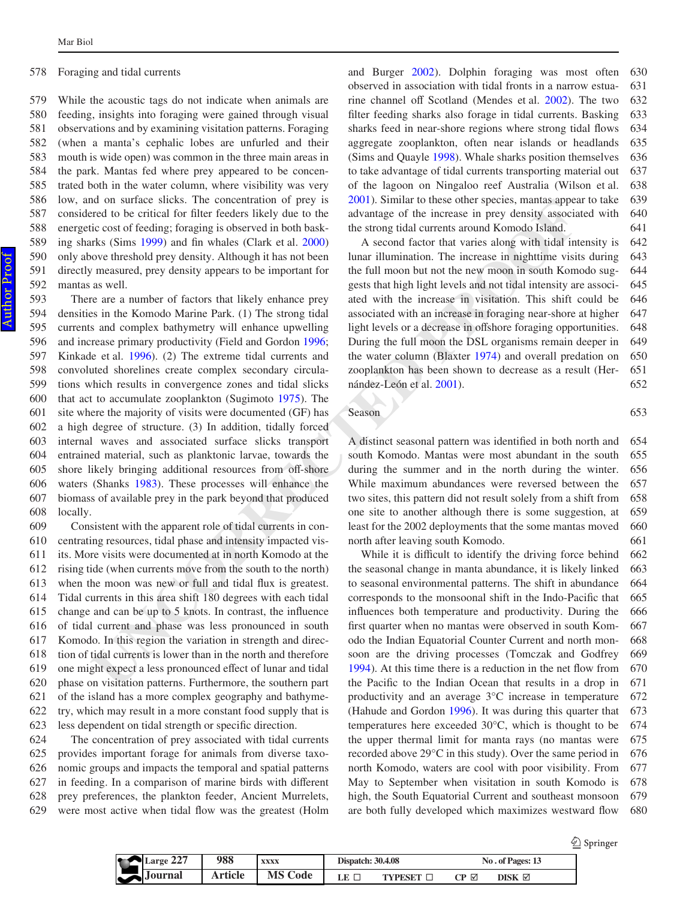#### Foraging and tidal currents 578

While the acoustic tags do not indicate when animals are feeding, insights into foraging were gained through visual observations and by examining visitation patterns. Foraging (when a manta's cephalic lobes are unfurled and their mouth is wide open) was common in the three main areas in the park. Mantas fed where prey appeared to be concentrated both in the water column, where visibility was very low, and on surface slicks. The concentration of prey is considered to be critical for filter feeders likely due to the energetic cost of feeding; foraging is observed in both basking sharks (Sims  $1999$ ) and fin whales (Clark et al.  $2000$ ) only above threshold prey density. Although it has not been directly measured, prey density appears to be important for mantas as well. 579 580 581 582 583 584 585 586 587 588 589 590 591 592

No on Surrege Street, "ne concentration or prey New 2001). Similar to these context (see Street Street (means the street and the means of Komina Street in cost of feeding: foreign is observed in order to the street and the There are a number of factors that likely enhance prey densities in the Komodo Marine Park. (1) The strong tidal currents and complex bathymetry will enhance upwelling and increase primary productivity (Field and Gordon 1996; Kinkade et al. 1996). (2) The extreme tidal currents and convoluted shorelines create complex secondary circulations which results in convergence zones and tidal slicks that act to accumulate zooplankton (Sugimoto 1975). The site where the majority of visits were documented (GF) has a high degree of structure. (3) In addition, tidally forced internal waves and associated surface slicks transport entrained material, such as planktonic larvae, towards the shore likely bringing additional resources from off-shore waters (Shanks 1983). These processes will enhance the biomass of available prey in the park beyond that produced locally. 593 594 595 596 597 598 599 600 601 602 603 604 605 606 607 608

Consistent with the apparent role of tidal currents in concentrating resources, tidal phase and intensity impacted visits. More visits were documented at in north Komodo at the rising tide (when currents move from the south to the north) when the moon was new or full and tidal flux is greatest. Tidal currents in this area shift 180 degrees with each tidal change and can be up to 5 knots. In contrast, the influence of tidal current and phase was less pronounced in south Komodo. In this region the variation in strength and direction of tidal currents is lower than in the north and therefore one might expect a less pronounced effect of lunar and tidal phase on visitation patterns. Furthermore, the southern part of the island has a more complex geography and bathymetry, which may result in a more constant food supply that is less dependent on tidal strength or specific direction. 609 610 611 612 613 614 615 616 617 618 619 620 621 622 623

The concentration of prey associated with tidal currents provides important forage for animals from diverse taxonomic groups and impacts the temporal and spatial patterns in feeding. In a comparison of marine birds with different prey preferences, the plankton feeder, Ancient Murrelets, were most active when tidal flow was the greatest (Holm 624 625 626 627 628 629

and Burger [2002](#page-17-36)). Dolphin foraging was most often observed in association with tidal fronts in a narrow estua-rine channel off Scotland (Mendes et al. [2002](#page-17-37)). The two filter feeding sharks also forage in tidal currents. Basking sharks feed in near-shore regions where strong tidal flows aggregate zooplankton, often near islands or headlands (Sims and Quayle [1998](#page-17-25)). Whale sharks position themselves to take advantage of tidal currents transporting material out of the lagoon on Ningaloo reef Australia (Wilson et al. [2001](#page-17-1)). Similar to these other species, mantas appear to take advantage of the increase in prey density associated with the strong tidal currents around Komodo Island. 630 631 632 633 634 635 636 637 638 639 640 641

A second factor that varies along with tidal intensity is lunar illumination. The increase in nighttime visits during the full moon but not the new moon in south Komodo suggests that high light levels and not tidal intensity are associated with the increase in visitation. This shift could be associated with an increase in foraging near-shore at higher light levels or a decrease in offshore foraging opportunities. During the full moon the DSL organisms remain deeper in the water column (Blaxter 1974) and overall predation on zooplankton has been shown to decrease as a result (Hernández-León et al. 2001). 642 643 644 645 646 647 648 649 650 651 652

Season

A distinct seasonal pattern was identified in both north and south Komodo. Mantas were most abundant in the south during the summer and in the north during the winter. While maximum abundances were reversed between the two sites, this pattern did not result solely from a shift from one site to another although there is some suggestion, at least for the 2002 deployments that the some mantas moved north after leaving south Komodo. 654 655 656 657 658 659 660 661

While it is difficult to identify the driving force behind the seasonal change in manta abundance, it is likely linked to seasonal environmental patterns. The shift in abundance corresponds to the monsoonal shift in the Indo-Pacific that influences both temperature and productivity. During the first quarter when no mantas were observed in south Komodo the Indian Equatorial Counter Current and north monsoon are the driving processes (Tomczak and Godfrey 1994). At this time there is a reduction in the net flow from the Pacific to the Indian Ocean that results in a drop in productivity and an average 3°C increase in temperature (Hahude and Gordon [1996\)](#page-17-40). It was during this quarter that temperatures here exceeded 30°C, which is thought to be the upper thermal limit for manta rays (no mantas were recorded above 29°C in this study). Over the same period in north Komodo, waters are cool with poor visibility. From May to September when visitation in south Komodo is high, the South Equatorial Current and southeast monsoon are both fully developed which maximizes westward flow 662 663 664 665 666 667 668 669 670 671 672 673 674 675 676 677 678 679 680

|                               |         |                |                          |                |      |                  | ω<br>Springer |  |
|-------------------------------|---------|----------------|--------------------------|----------------|------|------------------|---------------|--|
| Large 227                     | 988     | XXXX           | <b>Dispatch: 30.4.08</b> |                |      | No. of Pages: 13 |               |  |
| $\blacktriangleright$ Journal | Article | <b>MS Code</b> | LE $\Gamma$              | <b>TVPESET</b> | CP ⊠ | DISK<br>☑        |               |  |

653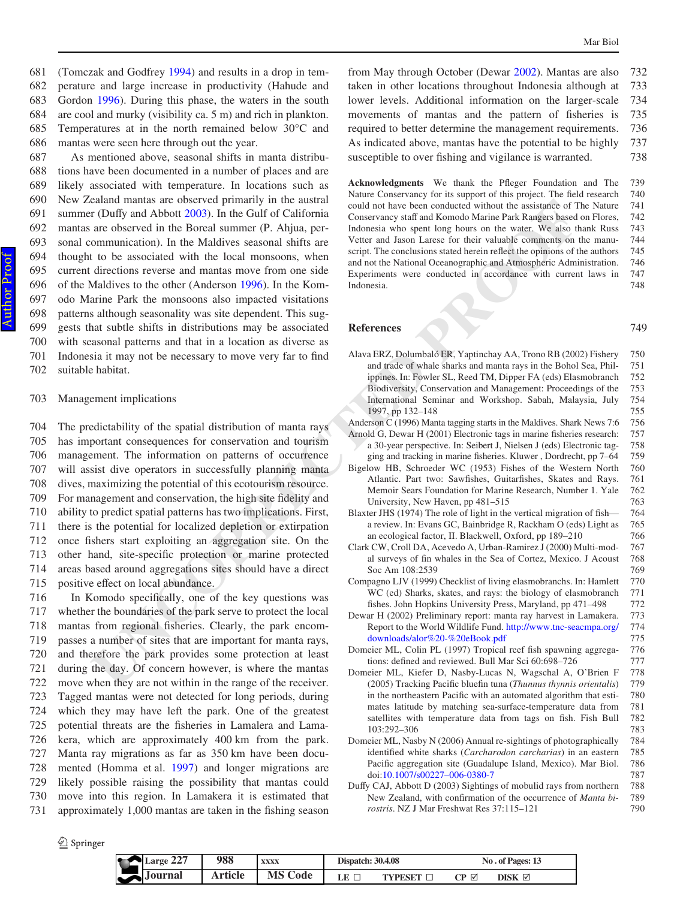(Tomczak and Godfrey [1994](#page-17-39)) and results in a drop in temperature and large increase in productivity (Hahude and Gordon [1996](#page-17-40)). During this phase, the waters in the south are cool and murky (visibility ca. 5 m) and rich in plankton. Temperatures at in the north remained below 30°C and mantas were seen here through out the year. 681 682 683 684 685 686

As mentioned above, seasonal shifts in manta distributions have been documented in a number of places and are likely associated with temperature. In locations such as New Zealand mantas are observed primarily in the austral summer (Duffy and Abbott 2003). In the Gulf of California mantas are observed in the Boreal summer (P. Ahjua, personal communication). In the Maldives seasonal shifts are thought to be associated with the local monsoons, when current directions reverse and mantas move from one side of the Maldives to the other (Anderson 1996). In the Komodo Marine Park the monsoons also impacted visitations patterns although seasonality was site dependent. This suggests that subtle shifts in distributions may be associated with seasonal patterns and that in a location as diverse as Indonesia it may not be necessary to move very far to find suitable habitat. 687 688 689 690 691 692 693 694 695 696 697 698 699 700 701 702

#### Management implications 703

The predictability of the spatial distribution of manta rays has important consequences for conservation and tourism management. The information on patterns of occurrence will assist dive operators in successfully planning manta dives, maximizing the potential of this ecotourism resource. For management and conservation, the high site fidelity and ability to predict spatial patterns has two implications. First, there is the potential for localized depletion or extirpation once fishers start exploiting an aggregation site. On the other hand, site-specific protection or marine protected areas based around aggregations sites should have a direct positive effect on local abundance. 704 705 706 707 708 709 710 711 712 713 714 715

<span id="page-16-9"></span><span id="page-16-4"></span><span id="page-16-1"></span>In Komodo specifically, one of the key questions was whether the boundaries of the park serve to protect the local mantas from regional fisheries. Clearly, the park encompasses a number of sites that are important for manta rays, and therefore the park provides some protection at least during the day. Of concern however, is where the mantas move when they are not within in the range of the receiver. Tagged mantas were not detected for long periods, during which they may have left the park. One of the greatest potential threats are the fisheries in Lamalera and Lamakera, which are approximately 400 km from the park. Manta ray migrations as far as 350 km have been documented (Homma et al. [1997\)](#page-17-2) and longer migrations are likely possible raising the possibility that mantas could move into this region. In Lamakera it is estimated that approximately 1,000 mantas are taken in the fishing season 716 717 718 719 720 721 722 723 724 725 726 727 728 729 730 731

from May through October (Dewar [2002\)](#page-16-4). Mantas are also taken in other locations throughout Indonesia although at lower levels. Additional information on the larger-scale movements of mantas and the pattern of fisheries is required to better determine the management requirements. As indicated above, mantas have the potential to be highly susceptible to over fishing and vigilance is warranted. 732 733 734 735 736 737 738

<span id="page-16-11"></span><span id="page-16-10"></span><span id="page-16-8"></span><span id="page-16-3"></span><span id="page-16-0"></span>Acknowledgments We thank the Pfleger Foundation and The Nature Conservancy for its support of this project. The field research could not have been conducted without the assistance of The Nature Conservancy staff and Komodo Marine Park Rangers based on Flores, Indonesia who spent long hours on the water. We also thank Russ Vetter and Jason Larese for their valuable comments on the manuscript. The conclusions stated herein reflect the opinions of the authors and not the National Oceanographic and Atmospheric Administration. Experiments were conducted in accordance with current laws in Indonesia. 739 740 741 742 743 744 745 746 747 748

| ealand mantas are observed primarily in the austral<br>r (Duffy and Abbott 2003). In the Gulf of California<br>are observed in the Boreal summer (P. Ahjua, per-<br>ommunication). In the Maldives seasonal shifts are<br>t to be associated with the local monsoons, when<br>directions reverse and mantas move from one side<br>Maldives to the other (Anderson 1996). In the Kom-<br>arine Park the monsoons also impacted visitations<br>s although seasonality was site dependent. This sug-                                                                                                                                                                                                                                                                                                                                                                                             | could not have been conducted without the assistance of The Nature<br>Conservancy staff and Komodo Marine Park Rangers based on Flores,<br>Indonesia who spent long hours on the water. We also thank Russ<br>Vetter and Jason Larese for their valuable comments on the manu-<br>script. The conclusions stated herein reflect the opinions of the authors<br>and not the National Oceanographic and Atmospheric Administration.<br>Experiments were conducted in accordance with current laws in<br>Indonesia.                                                                                                                                                                                                                                                                                                                                                                                                                                                                                                                                                                                                                                                                                                                                                                                                                                        | 741<br>742<br>743<br>744<br>745<br>746<br>747<br>748                                                                                            |
|-----------------------------------------------------------------------------------------------------------------------------------------------------------------------------------------------------------------------------------------------------------------------------------------------------------------------------------------------------------------------------------------------------------------------------------------------------------------------------------------------------------------------------------------------------------------------------------------------------------------------------------------------------------------------------------------------------------------------------------------------------------------------------------------------------------------------------------------------------------------------------------------------|---------------------------------------------------------------------------------------------------------------------------------------------------------------------------------------------------------------------------------------------------------------------------------------------------------------------------------------------------------------------------------------------------------------------------------------------------------------------------------------------------------------------------------------------------------------------------------------------------------------------------------------------------------------------------------------------------------------------------------------------------------------------------------------------------------------------------------------------------------------------------------------------------------------------------------------------------------------------------------------------------------------------------------------------------------------------------------------------------------------------------------------------------------------------------------------------------------------------------------------------------------------------------------------------------------------------------------------------------------|-------------------------------------------------------------------------------------------------------------------------------------------------|
| hat subtle shifts in distributions may be associated<br>easonal patterns and that in a location as diverse as                                                                                                                                                                                                                                                                                                                                                                                                                                                                                                                                                                                                                                                                                                                                                                                 | <b>References</b>                                                                                                                                                                                                                                                                                                                                                                                                                                                                                                                                                                                                                                                                                                                                                                                                                                                                                                                                                                                                                                                                                                                                                                                                                                                                                                                                       | 749                                                                                                                                             |
| sia it may not be necessary to move very far to find<br>e habitat.                                                                                                                                                                                                                                                                                                                                                                                                                                                                                                                                                                                                                                                                                                                                                                                                                            | Alava ERZ, Dolumbaló ER, Yaptinchay AA, Trono RB (2002) Fishery<br>and trade of whale sharks and manta rays in the Bohol Sea, Phil-<br>ippines. In: Fowler SL, Reed TM, Dipper FA (eds) Elasmobranch<br>Biodiversity, Conservation and Management: Proceedings of the                                                                                                                                                                                                                                                                                                                                                                                                                                                                                                                                                                                                                                                                                                                                                                                                                                                                                                                                                                                                                                                                                   | 750<br>751<br>752<br>753                                                                                                                        |
| ement implications                                                                                                                                                                                                                                                                                                                                                                                                                                                                                                                                                                                                                                                                                                                                                                                                                                                                            | International Seminar and Workshop. Sabah, Malaysia, July<br>1997, pp 132-148                                                                                                                                                                                                                                                                                                                                                                                                                                                                                                                                                                                                                                                                                                                                                                                                                                                                                                                                                                                                                                                                                                                                                                                                                                                                           | 754<br>755                                                                                                                                      |
| edictability of the spatial distribution of manta rays<br>portant consequences for conservation and tourism<br>ement. The information on patterns of occurrence<br>sist dive operators in successfully planning manta<br>naximizing the potential of this ecotourism resource.<br>nagement and conservation, the high site fidelity and<br>to predict spatial patterns has two implications. First,<br>s the potential for localized depletion or extirpation<br>shers start exploiting an aggregation site. On the<br>nand, site-specific protection or marine protected<br>ased around aggregations sites should have a direct<br>e effect on local abundance.<br>Komodo specifically, one of the key questions was<br>r the boundaries of the park serve to protect the local<br>from regional fisheries. Clearly, the park encom-<br>a number of sites that are important for manta rays, | Anderson C (1996) Manta tagging starts in the Maldives. Shark News 7:6<br>Arnold G, Dewar H (2001) Electronic tags in marine fisheries research:<br>a 30-year perspective. In: Seibert J, Nielsen J (eds) Electronic tag-<br>ging and tracking in marine fisheries. Kluwer, Dordrecht, pp 7–64<br>Bigelow HB, Schroeder WC (1953) Fishes of the Western North<br>Atlantic. Part two: Sawfishes, Guitarfishes, Skates and Rays.<br>Memoir Sears Foundation for Marine Research, Number 1. Yale<br>University, New Haven, pp 481–515<br>Blaxter JHS (1974) The role of light in the vertical migration of fish—<br>a review. In: Evans GC, Bainbridge R, Rackham O (eds) Light as<br>an ecological factor, II. Blackwell, Oxford, pp 189-210<br>Clark CW, Croll DA, Acevedo A, Urban-Ramirez J (2000) Multi-mod-<br>al surveys of fin whales in the Sea of Cortez, Mexico. J Acoust<br>Soc Am 108:2539<br>Compagno LJV (1999) Checklist of living elasmobranchs. In: Hamlett<br>WC (ed) Sharks, skates, and rays: the biology of elasmobranch<br>fishes. John Hopkins University Press, Maryland, pp 471–498<br>Dewar H (2002) Preliminary report: manta ray harvest in Lamakera.<br>Report to the World Wildlife Fund. http://www.tnc-seacmpa.org/<br>downloads/alor%20-%20eBook.pdf<br>Domeier ML, Colin PL (1997) Tropical reef fish spawning aggrega- | 756<br>757<br>758<br>759<br>760<br>761<br>762<br>763<br>764<br>765<br>766<br>767<br>768<br>769<br>770<br>771<br>772<br>773<br>774<br>775<br>776 |
| erefore the park provides some protection at least<br>the day. Of concern however, is where the mantas<br>when they are not within in the range of the receiver.<br>I mantas were not detected for long periods, during<br>they may have left the park. One of the greatest<br>al threats are the fisheries in Lamalera and Lama-<br>which are approximately 400 km from the park.<br>ray migrations as far as 350 km have been docu-<br>(Homma et al. 1997) and longer migrations are<br>possible raising the possibility that mantas could<br>into this region. In Lamakera it is estimated that<br>imately 1,000 mantas are taken in the fishing season                                                                                                                                                                                                                                    | tions: defined and reviewed. Bull Mar Sci 60:698-726<br>Domeier ML, Kiefer D, Nasby-Lucas N, Wagschal A, O'Brien F<br>(2005) Tracking Pacific bluefin tuna (Thunnus thynnis orientalis)<br>in the northeastern Pacific with an automated algorithm that esti-<br>mates latitude by matching sea-surface-temperature data from<br>satellites with temperature data from tags on fish. Fish Bull<br>103:292-306<br>Domeier ML, Nasby N (2006) Annual re-sightings of photographically<br>identified white sharks (Carcharodon carcharias) in an eastern<br>Pacific aggregation site (Guadalupe Island, Mexico). Mar Biol.<br>doi:10.1007/s00227-006-0380-7<br>Duffy CAJ, Abbott D (2003) Sightings of mobulid rays from northern<br>New Zealand, with confirmation of the occurrence of Manta bi-<br>rostris. NZ J Mar Freshwat Res 37:115-121                                                                                                                                                                                                                                                                                                                                                                                                                                                                                                            | 777<br>778<br>779<br>780<br>781<br>782<br>783<br>784<br>785<br>786<br>787<br>788<br>789<br>790                                                  |

<span id="page-16-7"></span><span id="page-16-6"></span><span id="page-16-5"></span><span id="page-16-2"></span>

| T | Large 227           | 988            | <b>XXXX</b>    | <b>Dispatch: 30.4.08</b> |                |     | No. of Pages: 13     |
|---|---------------------|----------------|----------------|--------------------------|----------------|-----|----------------------|
| N | $\triangle$ Journal | <b>Article</b> | <b>MS Code</b> |                          | <b>TYPESET</b> | CP⊠ | $DISK \ \n\boxtimes$ |